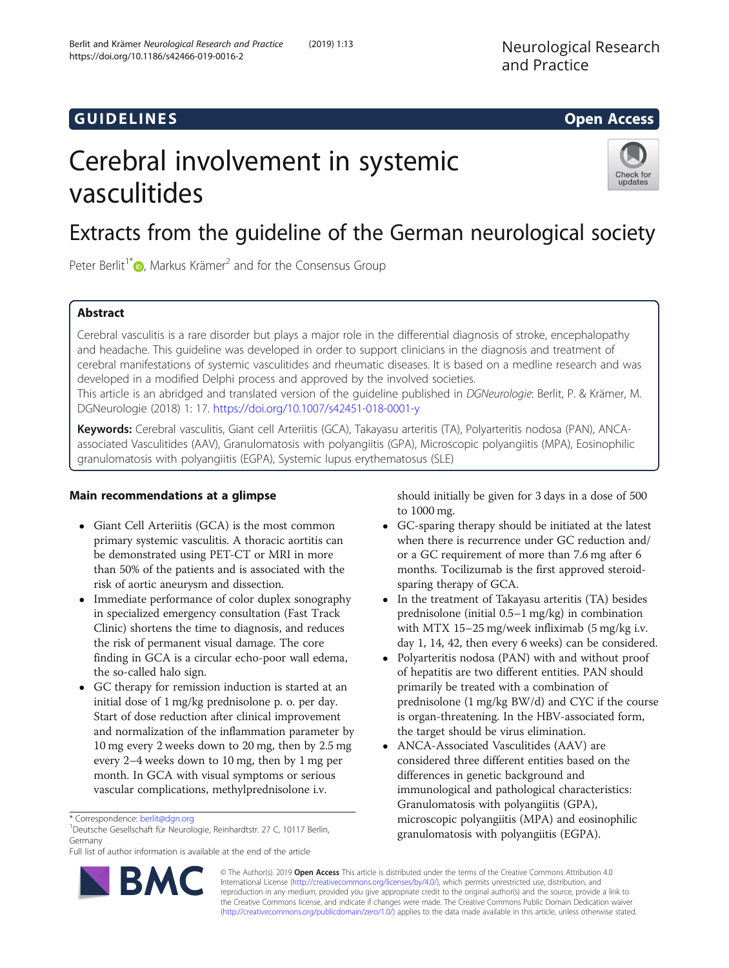### **GUIDELINES CONSERVATION CONSERVATION**

# Cerebral involvement in systemic vasculitides



## Extracts from the guideline of the German neurological society

Peter Berlit<sup>1\*</sup> $\bullet$ [,](http://orcid.org/0000-0002-9544-7256) Markus Krämer<sup>2</sup> and for the Consensus Group

### Abstract

Cerebral vasculitis is a rare disorder but plays a major role in the differential diagnosis of stroke, encephalopathy and headache. This guideline was developed in order to support clinicians in the diagnosis and treatment of cerebral manifestations of systemic vasculitides and rheumatic diseases. It is based on a medline research and was developed in a modified Delphi process and approved by the involved societies.

This article is an abridged and translated version of the guideline published in DGNeurologie: Berlit, P. & Krämer, M. DGNeurologie (2018) 1: 17. <https://doi.org/10.1007/s42451-018-0001-y>

Keywords: Cerebral vasculitis, Giant cell Arteriitis (GCA), Takayasu arteritis (TA), Polyarteritis nodosa (PAN), ANCAassociated Vasculitides (AAV), Granulomatosis with polyangiitis (GPA), Microscopic polyangiitis (MPA), Eosinophilic granulomatosis with polyangiitis (EGPA), Systemic lupus erythematosus (SLE)

### Main recommendations at a glimpse

- Giant Cell Arteriitis (GCA) is the most common primary systemic vasculitis. A thoracic aortitis can be demonstrated using PET-CT or MRI in more than 50% of the patients and is associated with the risk of aortic aneurysm and dissection.
- Immediate performance of color duplex sonography in specialized emergency consultation (Fast Track Clinic) shortens the time to diagnosis, and reduces the risk of permanent visual damage. The core finding in GCA is a circular echo-poor wall edema, the so-called halo sign.
- GC therapy for remission induction is started at an initial dose of 1 mg/kg prednisolone p. o. per day. Start of dose reduction after clinical improvement and normalization of the inflammation parameter by 10 mg every 2 weeks down to 20 mg, then by 2.5 mg every 2–4 weeks down to 10 mg, then by 1 mg per month. In GCA with visual symptoms or serious vascular complications, methylprednisolone i.v.

<sup>1</sup>Deutsche Gesellschaft für Neurologie, Reinhardtstr. 27 C, 10117 Berlin, Germany

Full list of author information is available at the end of the article



- GC-sparing therapy should be initiated at the latest when there is recurrence under GC reduction and/ or a GC requirement of more than 7.6 mg after 6 months. Tocilizumab is the first approved steroidsparing therapy of GCA.
- In the treatment of Takayasu arteritis (TA) besides prednisolone (initial 0.5–1 mg/kg) in combination with MTX 15–25 mg/week infliximab (5 mg/kg i.v. day 1, 14, 42, then every 6 weeks) can be considered.
- Polyarteritis nodosa (PAN) with and without proof of hepatitis are two different entities. PAN should primarily be treated with a combination of prednisolone (1 mg/kg BW/d) and CYC if the course is organ-threatening. In the HBV-associated form, the target should be virus elimination.
- ANCA-Associated Vasculitides (AAV) are considered three different entities based on the differences in genetic background and immunological and pathological characteristics: Granulomatosis with polyangiitis (GPA), microscopic polyangiitis (MPA) and eosinophilic granulomatosis with polyangiitis (EGPA).

© The Author(s). 2019 Open Access This article is distributed under the terms of the Creative Commons Attribution 4.0 International License [\(http://creativecommons.org/licenses/by/4.0/](http://creativecommons.org/licenses/by/4.0/)), which permits unrestricted use, distribution, and reproduction in any medium, provided you give appropriate credit to the original author(s) and the source, provide a link to the Creative Commons license, and indicate if changes were made. The Creative Commons Public Domain Dedication waiver [\(http://creativecommons.org/publicdomain/zero/1.0/](http://creativecommons.org/publicdomain/zero/1.0/)) applies to the data made available in this article, unless otherwise stated.

<sup>\*</sup> Correspondence: [berlit@dgn.org](mailto:berlit@dgn.org) <sup>1</sup>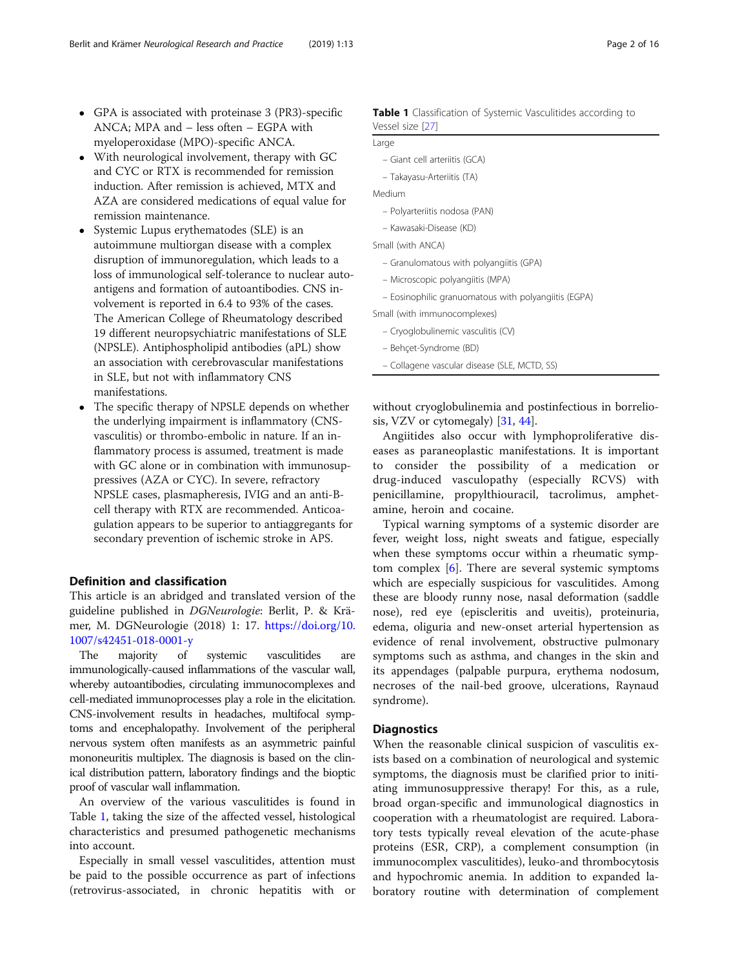- GPA is associated with proteinase 3 (PR3)-specific ANCA; MPA and – less often – EGPA with myeloperoxidase (MPO)-specific ANCA.
- With neurological involvement, therapy with GC and CYC or RTX is recommended for remission induction. After remission is achieved, MTX and AZA are considered medications of equal value for remission maintenance.
- Systemic Lupus erythematodes (SLE) is an autoimmune multiorgan disease with a complex disruption of immunoregulation, which leads to a loss of immunological self-tolerance to nuclear autoantigens and formation of autoantibodies. CNS involvement is reported in 6.4 to 93% of the cases. The American College of Rheumatology described 19 different neuropsychiatric manifestations of SLE (NPSLE). Antiphospholipid antibodies (aPL) show an association with cerebrovascular manifestations in SLE, but not with inflammatory CNS manifestations.
- The specific therapy of NPSLE depends on whether the underlying impairment is inflammatory (CNSvasculitis) or thrombo-embolic in nature. If an inflammatory process is assumed, treatment is made with GC alone or in combination with immunosuppressives (AZA or CYC). In severe, refractory NPSLE cases, plasmapheresis, IVIG and an anti-Bcell therapy with RTX are recommended. Anticoagulation appears to be superior to antiaggregants for secondary prevention of ischemic stroke in APS.

#### Definition and classification

This article is an abridged and translated version of the guideline published in DGNeurologie: Berlit, P. & Krämer, M. DGNeurologie (2018) 1: 17. [https://doi.org/10.](https://doi.org/10.1007/s42451-018-0001-y) [1007/s42451-018-0001-y](https://doi.org/10.1007/s42451-018-0001-y)

The majority of systemic vasculitides are immunologically-caused inflammations of the vascular wall, whereby autoantibodies, circulating immunocomplexes and cell-mediated immunoprocesses play a role in the elicitation. CNS-involvement results in headaches, multifocal symptoms and encephalopathy. Involvement of the peripheral nervous system often manifests as an asymmetric painful mononeuritis multiplex. The diagnosis is based on the clinical distribution pattern, laboratory findings and the bioptic proof of vascular wall inflammation.

An overview of the various vasculitides is found in Table 1, taking the size of the affected vessel, histological characteristics and presumed pathogenetic mechanisms into account.

Especially in small vessel vasculitides, attention must be paid to the possible occurrence as part of infections (retrovirus-associated, in chronic hepatitis with or

#### Table 1 Classification of Systemic Vasculitides according to Vessel size [\[27\]](#page-13-0)

#### Large

- Giant cell arteriitis (GCA)
- Takayasu-Arteriitis (TA)

#### Medium

- Polyarteriitis nodosa (PAN)
- Kawasaki-Disease (KD)

Small (with ANCA)

- Granulomatous with polyangiitis (GPA)
- Microscopic polyangiitis (MPA)
- Eosinophilic granuomatous with polyangiitis (EGPA)

Small (with immunocomplexes)

- Cryoglobulinemic vasculitis (CV)
- Behçet-Syndrome (BD)
- Collagene vascular disease (SLE, MCTD, SS)

without cryoglobulinemia and postinfectious in borreliosis, VZV or cytomegaly) [\[31,](#page-14-0) [44\]](#page-14-0).

Angiitides also occur with lymphoproliferative diseases as paraneoplastic manifestations. It is important to consider the possibility of a medication or drug-induced vasculopathy (especially RCVS) with penicillamine, propylthiouracil, tacrolimus, amphetamine, heroin and cocaine.

Typical warning symptoms of a systemic disorder are fever, weight loss, night sweats and fatigue, especially when these symptoms occur within a rheumatic symptom complex [\[6](#page-13-0)]. There are several systemic symptoms which are especially suspicious for vasculitides. Among these are bloody runny nose, nasal deformation (saddle nose), red eye (episcleritis and uveitis), proteinuria, edema, oliguria and new-onset arterial hypertension as evidence of renal involvement, obstructive pulmonary symptoms such as asthma, and changes in the skin and its appendages (palpable purpura, erythema nodosum, necroses of the nail-bed groove, ulcerations, Raynaud syndrome).

#### **Diagnostics**

When the reasonable clinical suspicion of vasculitis exists based on a combination of neurological and systemic symptoms, the diagnosis must be clarified prior to initiating immunosuppressive therapy! For this, as a rule, broad organ-specific and immunological diagnostics in cooperation with a rheumatologist are required. Laboratory tests typically reveal elevation of the acute-phase proteins (ESR, CRP), a complement consumption (in immunocomplex vasculitides), leuko-and thrombocytosis and hypochromic anemia. In addition to expanded laboratory routine with determination of complement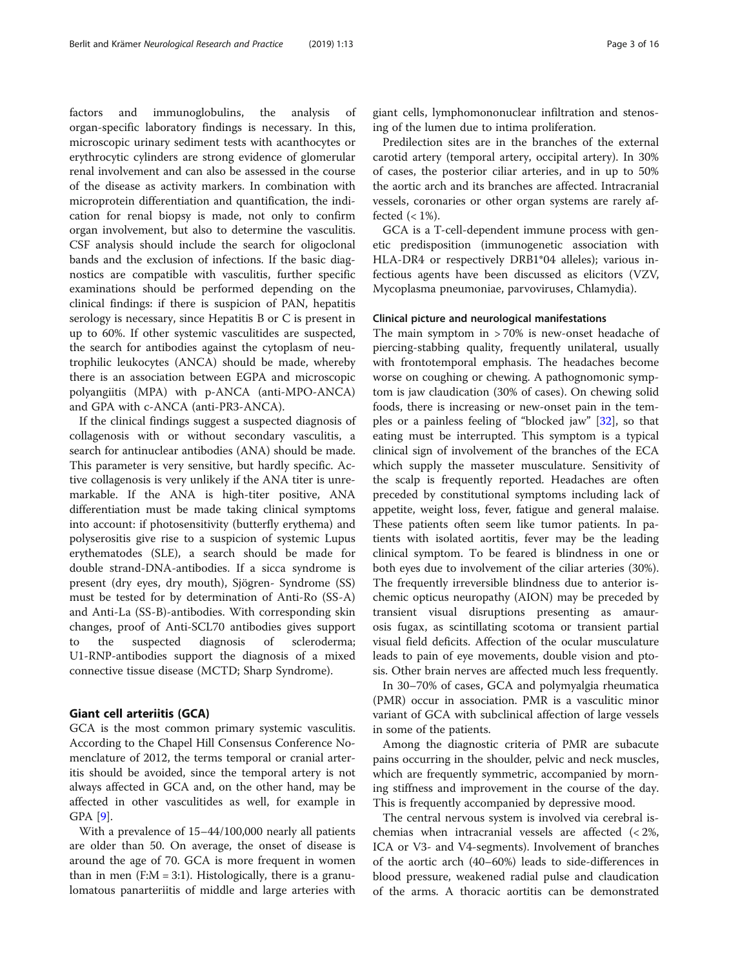factors and immunoglobulins, the analysis of organ-specific laboratory findings is necessary. In this, microscopic urinary sediment tests with acanthocytes or erythrocytic cylinders are strong evidence of glomerular renal involvement and can also be assessed in the course of the disease as activity markers. In combination with microprotein differentiation and quantification, the indication for renal biopsy is made, not only to confirm organ involvement, but also to determine the vasculitis. CSF analysis should include the search for oligoclonal bands and the exclusion of infections. If the basic diagnostics are compatible with vasculitis, further specific examinations should be performed depending on the clinical findings: if there is suspicion of PAN, hepatitis serology is necessary, since Hepatitis B or C is present in up to 60%. If other systemic vasculitides are suspected, the search for antibodies against the cytoplasm of neutrophilic leukocytes (ANCA) should be made, whereby there is an association between EGPA and microscopic polyangiitis (MPA) with p-ANCA (anti-MPO-ANCA) and GPA with c-ANCA (anti-PR3-ANCA).

If the clinical findings suggest a suspected diagnosis of collagenosis with or without secondary vasculitis, a search for antinuclear antibodies (ANA) should be made. This parameter is very sensitive, but hardly specific. Active collagenosis is very unlikely if the ANA titer is unremarkable. If the ANA is high-titer positive, ANA differentiation must be made taking clinical symptoms into account: if photosensitivity (butterfly erythema) and polyserositis give rise to a suspicion of systemic Lupus erythematodes (SLE), a search should be made for double strand-DNA-antibodies. If a sicca syndrome is present (dry eyes, dry mouth), Sjögren- Syndrome (SS) must be tested for by determination of Anti-Ro (SS-A) and Anti-La (SS-B)-antibodies. With corresponding skin changes, proof of Anti-SCL70 antibodies gives support to the suspected diagnosis of scleroderma; U1-RNP-antibodies support the diagnosis of a mixed connective tissue disease (MCTD; Sharp Syndrome).

#### Giant cell arteriitis (GCA)

GCA is the most common primary systemic vasculitis. According to the Chapel Hill Consensus Conference Nomenclature of 2012, the terms temporal or cranial arteritis should be avoided, since the temporal artery is not always affected in GCA and, on the other hand, may be affected in other vasculitides as well, for example in GPA [\[9\]](#page-13-0).

With a prevalence of 15–44/100,000 nearly all patients are older than 50. On average, the onset of disease is around the age of 70. GCA is more frequent in women than in men  $(F:M = 3:1)$ . Histologically, there is a granulomatous panarteriitis of middle and large arteries with

giant cells, lymphomononuclear infiltration and stenosing of the lumen due to intima proliferation.

Predilection sites are in the branches of the external carotid artery (temporal artery, occipital artery). In 30% of cases, the posterior ciliar arteries, and in up to 50% the aortic arch and its branches are affected. Intracranial vessels, coronaries or other organ systems are rarely affected  $(< 1\%)$ .

GCA is a T-cell-dependent immune process with genetic predisposition (immunogenetic association with HLA-DR4 or respectively DRB1\*04 alleles); various infectious agents have been discussed as elicitors (VZV, Mycoplasma pneumoniae, parvoviruses, Chlamydia).

#### Clinical picture and neurological manifestations

The main symptom in > 70% is new-onset headache of piercing-stabbing quality, frequently unilateral, usually with frontotemporal emphasis. The headaches become worse on coughing or chewing. A pathognomonic symptom is jaw claudication (30% of cases). On chewing solid foods, there is increasing or new-onset pain in the temples or a painless feeling of "blocked jaw" [\[32\]](#page-14-0), so that eating must be interrupted. This symptom is a typical clinical sign of involvement of the branches of the ECA which supply the masseter musculature. Sensitivity of the scalp is frequently reported. Headaches are often preceded by constitutional symptoms including lack of appetite, weight loss, fever, fatigue and general malaise. These patients often seem like tumor patients. In patients with isolated aortitis, fever may be the leading clinical symptom. To be feared is blindness in one or both eyes due to involvement of the ciliar arteries (30%). The frequently irreversible blindness due to anterior ischemic opticus neuropathy (AION) may be preceded by transient visual disruptions presenting as amaurosis fugax, as scintillating scotoma or transient partial visual field deficits. Affection of the ocular musculature leads to pain of eye movements, double vision and ptosis. Other brain nerves are affected much less frequently.

In 30–70% of cases, GCA and polymyalgia rheumatica (PMR) occur in association. PMR is a vasculitic minor variant of GCA with subclinical affection of large vessels in some of the patients.

Among the diagnostic criteria of PMR are subacute pains occurring in the shoulder, pelvic and neck muscles, which are frequently symmetric, accompanied by morning stiffness and improvement in the course of the day. This is frequently accompanied by depressive mood.

The central nervous system is involved via cerebral ischemias when intracranial vessels are affected (< 2%, ICA or V3- and V4-segments). Involvement of branches of the aortic arch (40–60%) leads to side-differences in blood pressure, weakened radial pulse and claudication of the arms. A thoracic aortitis can be demonstrated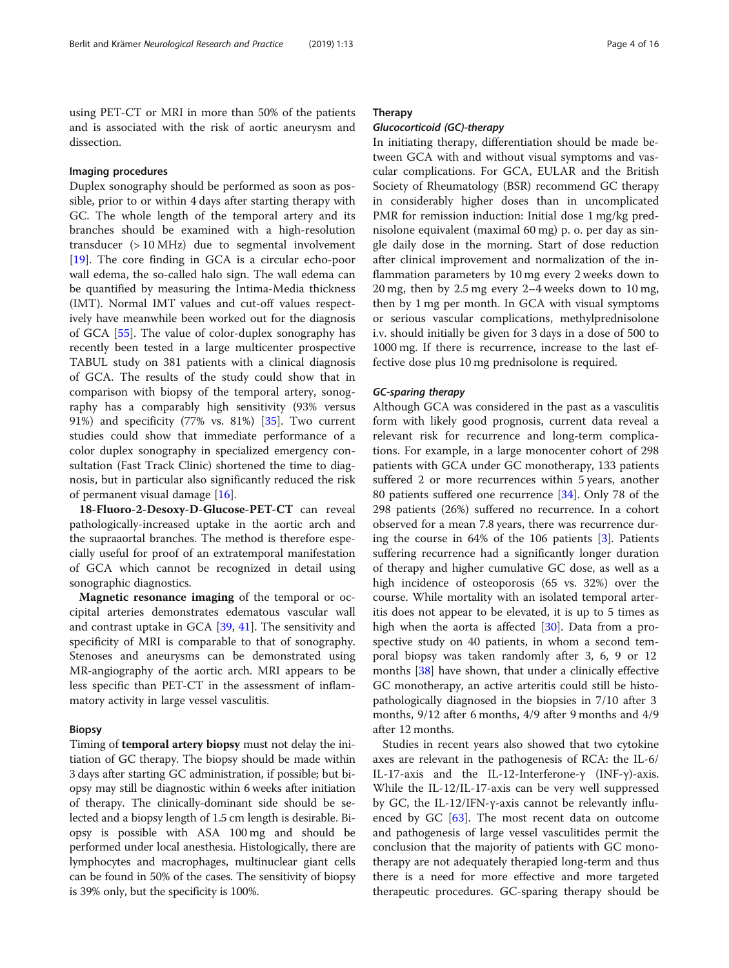using PET-CT or MRI in more than 50% of the patients and is associated with the risk of aortic aneurysm and dissection.

#### Imaging procedures

Duplex sonography should be performed as soon as possible, prior to or within 4 days after starting therapy with GC. The whole length of the temporal artery and its branches should be examined with a high-resolution transducer (> 10 MHz) due to segmental involvement [[19\]](#page-13-0). The core finding in GCA is a circular echo-poor wall edema, the so-called halo sign. The wall edema can be quantified by measuring the Intima-Media thickness (IMT). Normal IMT values and cut-off values respectively have meanwhile been worked out for the diagnosis of GCA [\[55](#page-14-0)]. The value of color-duplex sonography has recently been tested in a large multicenter prospective TABUL study on 381 patients with a clinical diagnosis of GCA. The results of the study could show that in comparison with biopsy of the temporal artery, sonography has a comparably high sensitivity (93% versus 91%) and specificity (77% vs. 81%) [\[35](#page-14-0)]. Two current studies could show that immediate performance of a color duplex sonography in specialized emergency consultation (Fast Track Clinic) shortened the time to diagnosis, but in particular also significantly reduced the risk of permanent visual damage [\[16](#page-13-0)].

18-Fluoro-2-Desoxy-D-Glucose-PET-CT can reveal pathologically-increased uptake in the aortic arch and the supraaortal branches. The method is therefore especially useful for proof of an extratemporal manifestation of GCA which cannot be recognized in detail using sonographic diagnostics.

Magnetic resonance imaging of the temporal or occipital arteries demonstrates edematous vascular wall and contrast uptake in GCA [[39,](#page-14-0) [41\]](#page-14-0). The sensitivity and specificity of MRI is comparable to that of sonography. Stenoses and aneurysms can be demonstrated using MR-angiography of the aortic arch. MRI appears to be less specific than PET-CT in the assessment of inflammatory activity in large vessel vasculitis.

#### Biopsy

Timing of temporal artery biopsy must not delay the initiation of GC therapy. The biopsy should be made within 3 days after starting GC administration, if possible; but biopsy may still be diagnostic within 6 weeks after initiation of therapy. The clinically-dominant side should be selected and a biopsy length of 1.5 cm length is desirable. Biopsy is possible with ASA 100 mg and should be performed under local anesthesia. Histologically, there are lymphocytes and macrophages, multinuclear giant cells can be found in 50% of the cases. The sensitivity of biopsy is 39% only, but the specificity is 100%.

#### Therapy

#### Glucocorticoid (GC)-therapy

In initiating therapy, differentiation should be made between GCA with and without visual symptoms and vascular complications. For GCA, EULAR and the British Society of Rheumatology (BSR) recommend GC therapy in considerably higher doses than in uncomplicated PMR for remission induction: Initial dose 1 mg/kg prednisolone equivalent (maximal 60 mg) p. o. per day as single daily dose in the morning. Start of dose reduction after clinical improvement and normalization of the inflammation parameters by 10 mg every 2 weeks down to 20 mg, then by 2.5 mg every 2–4 weeks down to 10 mg, then by 1 mg per month. In GCA with visual symptoms or serious vascular complications, methylprednisolone i.v. should initially be given for 3 days in a dose of 500 to 1000 mg. If there is recurrence, increase to the last effective dose plus 10 mg prednisolone is required.

#### GC-sparing therapy

Although GCA was considered in the past as a vasculitis form with likely good prognosis, current data reveal a relevant risk for recurrence and long-term complications. For example, in a large monocenter cohort of 298 patients with GCA under GC monotherapy, 133 patients suffered 2 or more recurrences within 5 years, another 80 patients suffered one recurrence [[34\]](#page-14-0). Only 78 of the 298 patients (26%) suffered no recurrence. In a cohort observed for a mean 7.8 years, there was recurrence during the course in 64% of the 106 patients [[3](#page-13-0)]. Patients suffering recurrence had a significantly longer duration of therapy and higher cumulative GC dose, as well as a high incidence of osteoporosis (65 vs. 32%) over the course. While mortality with an isolated temporal arteritis does not appear to be elevated, it is up to 5 times as high when the aorta is affected [\[30](#page-14-0)]. Data from a prospective study on 40 patients, in whom a second temporal biopsy was taken randomly after 3, 6, 9 or 12 months [\[38\]](#page-14-0) have shown, that under a clinically effective GC monotherapy, an active arteritis could still be histopathologically diagnosed in the biopsies in 7/10 after 3 months, 9/12 after 6 months, 4/9 after 9 months and 4/9 after 12 months.

Studies in recent years also showed that two cytokine axes are relevant in the pathogenesis of RCA: the IL-6/ IL-17-axis and the IL-12-Interferone-γ (INF-γ)-axis. While the IL-12/IL-17-axis can be very well suppressed by GC, the IL-12/IFN-γ-axis cannot be relevantly influenced by GC [[63](#page-14-0)]. The most recent data on outcome and pathogenesis of large vessel vasculitides permit the conclusion that the majority of patients with GC monotherapy are not adequately therapied long-term and thus there is a need for more effective and more targeted therapeutic procedures. GC-sparing therapy should be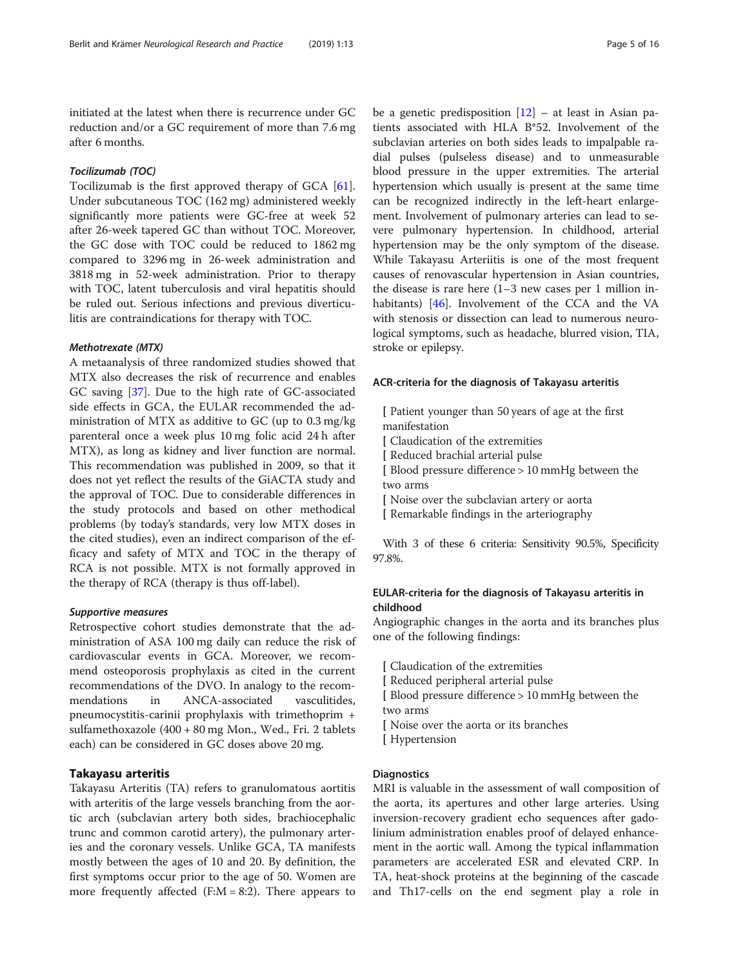initiated at the latest when there is recurrence under GC reduction and/or a GC requirement of more than 7.6 mg after 6 months.

#### Tocilizumab (TOC)

Tocilizumab is the first approved therapy of GCA [\[61](#page-14-0)]. Under subcutaneous TOC (162 mg) administered weekly significantly more patients were GC-free at week 52 after 26-week tapered GC than without TOC. Moreover, the GC dose with TOC could be reduced to 1862 mg compared to 3296 mg in 26-week administration and 3818 mg in 52-week administration. Prior to therapy with TOC, latent tuberculosis and viral hepatitis should be ruled out. Serious infections and previous diverticulitis are contraindications for therapy with TOC.

#### Methotrexate (MTX)

A metaanalysis of three randomized studies showed that MTX also decreases the risk of recurrence and enables GC saving [[37](#page-14-0)]. Due to the high rate of GC-associated side effects in GCA, the EULAR recommended the administration of MTX as additive to GC (up to 0.3 mg/kg parenteral once a week plus 10 mg folic acid 24 h after MTX), as long as kidney and liver function are normal. This recommendation was published in 2009, so that it does not yet reflect the results of the GiACTA study and the approval of TOC. Due to considerable differences in the study protocols and based on other methodical problems (by today's standards, very low MTX doses in the cited studies), even an indirect comparison of the efficacy and safety of MTX and TOC in the therapy of RCA is not possible. MTX is not formally approved in the therapy of RCA (therapy is thus off-label).

#### Supportive measures

Retrospective cohort studies demonstrate that the administration of ASA 100 mg daily can reduce the risk of cardiovascular events in GCA. Moreover, we recommend osteoporosis prophylaxis as cited in the current recommendations of the DVO. In analogy to the recommendations in ANCA-associated vasculitides, pneumocystitis-carinii prophylaxis with trimethoprim + sulfamethoxazole (400 + 80 mg Mon., Wed., Fri. 2 tablets each) can be considered in GC doses above 20 mg.

#### Takayasu arteritis

Takayasu Arteritis (TA) refers to granulomatous aortitis with arteritis of the large vessels branching from the aortic arch (subclavian artery both sides, brachiocephalic trunc and common carotid artery), the pulmonary arteries and the coronary vessels. Unlike GCA, TA manifests mostly between the ages of 10 and 20. By definition, the first symptoms occur prior to the age of 50. Women are more frequently affected  $(F:M = 8:2)$ . There appears to be a genetic predisposition  $[12]$  $[12]$  – at least in Asian patients associated with HLA B\*52. Involvement of the subclavian arteries on both sides leads to impalpable radial pulses (pulseless disease) and to unmeasurable blood pressure in the upper extremities. The arterial hypertension which usually is present at the same time can be recognized indirectly in the left-heart enlargement. Involvement of pulmonary arteries can lead to severe pulmonary hypertension. In childhood, arterial hypertension may be the only symptom of the disease. While Takayasu Arteriitis is one of the most frequent causes of renovascular hypertension in Asian countries, the disease is rare here (1–3 new cases per 1 million in-habitants) [[46\]](#page-14-0). Involvement of the CCA and the VA with stenosis or dissection can lead to numerous neurological symptoms, such as headache, blurred vision, TIA, stroke or epilepsy.

#### ACR-criteria for the diagnosis of Takayasu arteritis

- [ Patient younger than 50 years of age at the first manifestation
- [ Claudication of the extremities
- [ Reduced brachial arterial pulse
- [ Blood pressure difference > 10 mmHg between the
- two arms

[ Noise over the subclavian artery or aorta

[ Remarkable findings in the arteriography

With 3 of these 6 criteria: Sensitivity 90.5%, Specificity 97.8%.

#### EULAR-criteria for the diagnosis of Takayasu arteritis in childhood

Angiographic changes in the aorta and its branches plus one of the following findings:

- [ Claudication of the extremities
- [ Reduced peripheral arterial pulse

[ Blood pressure difference > 10 mmHg between the

two arms

- [ Noise over the aorta or its branches
- [Hypertension

#### **Diagnostics**

MRI is valuable in the assessment of wall composition of the aorta, its apertures and other large arteries. Using inversion-recovery gradient echo sequences after gadolinium administration enables proof of delayed enhancement in the aortic wall. Among the typical inflammation parameters are accelerated ESR and elevated CRP. In TA, heat-shock proteins at the beginning of the cascade and Th17-cells on the end segment play a role in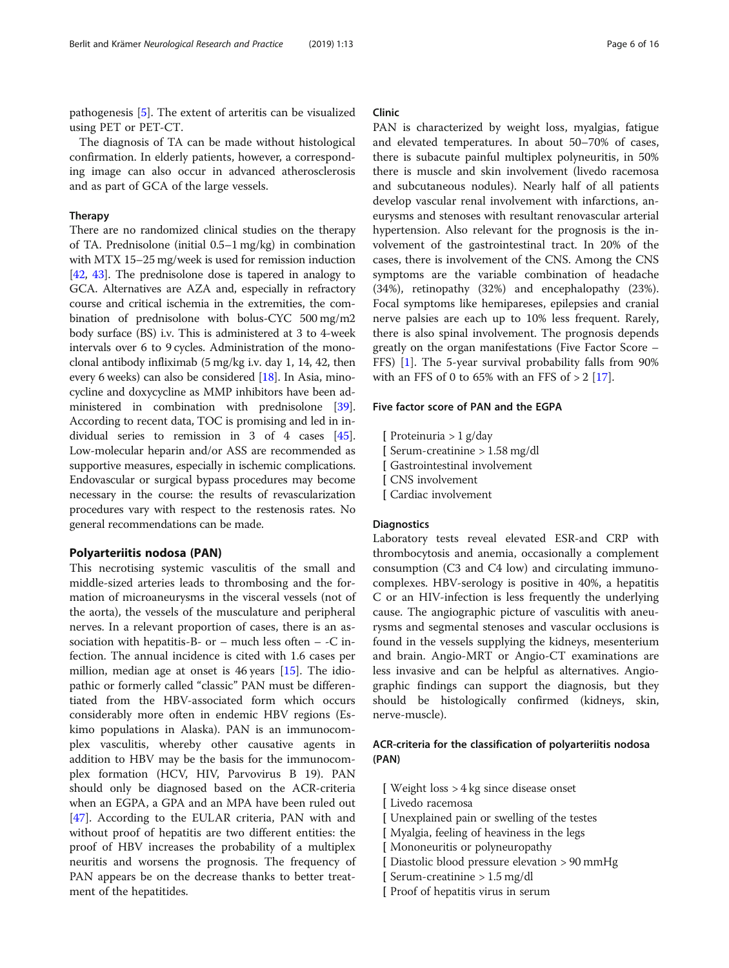pathogenesis [\[5](#page-13-0)]. The extent of arteritis can be visualized using PET or PET-CT.

The diagnosis of TA can be made without histological confirmation. In elderly patients, however, a corresponding image can also occur in advanced atherosclerosis and as part of GCA of the large vessels.

#### Therapy

There are no randomized clinical studies on the therapy of TA. Prednisolone (initial 0.5–1 mg/kg) in combination with MTX 15–25 mg/week is used for remission induction [[42](#page-14-0), [43](#page-14-0)]. The prednisolone dose is tapered in analogy to GCA. Alternatives are AZA and, especially in refractory course and critical ischemia in the extremities, the combination of prednisolone with bolus-CYC 500 mg/m2 body surface (BS) i.v. This is administered at 3 to 4-week intervals over 6 to 9 cycles. Administration of the monoclonal antibody infliximab (5 mg/kg i.v. day 1, 14, 42, then every 6 weeks) can also be considered [\[18\]](#page-13-0). In Asia, minocycline and doxycycline as MMP inhibitors have been administered in combination with prednisolone [[39](#page-14-0)]. According to recent data, TOC is promising and led in individual series to remission in 3 of 4 cases [[45](#page-14-0)]. Low-molecular heparin and/or ASS are recommended as supportive measures, especially in ischemic complications. Endovascular or surgical bypass procedures may become necessary in the course: the results of revascularization procedures vary with respect to the restenosis rates. No general recommendations can be made.

#### Polyarteriitis nodosa (PAN)

This necrotising systemic vasculitis of the small and middle-sized arteries leads to thrombosing and the formation of microaneurysms in the visceral vessels (not of the aorta), the vessels of the musculature and peripheral nerves. In a relevant proportion of cases, there is an association with hepatitis-B- or – much less often – -C infection. The annual incidence is cited with 1.6 cases per million, median age at onset is 46 years [[15\]](#page-13-0). The idiopathic or formerly called "classic" PAN must be differentiated from the HBV-associated form which occurs considerably more often in endemic HBV regions (Eskimo populations in Alaska). PAN is an immunocomplex vasculitis, whereby other causative agents in addition to HBV may be the basis for the immunocomplex formation (HCV, HIV, Parvovirus B 19). PAN should only be diagnosed based on the ACR-criteria when an EGPA, a GPA and an MPA have been ruled out [[47\]](#page-14-0). According to the EULAR criteria, PAN with and without proof of hepatitis are two different entities: the proof of HBV increases the probability of a multiplex neuritis and worsens the prognosis. The frequency of PAN appears be on the decrease thanks to better treatment of the hepatitides.

#### Clinic

PAN is characterized by weight loss, myalgias, fatigue and elevated temperatures. In about 50–70% of cases, there is subacute painful multiplex polyneuritis, in 50% there is muscle and skin involvement (livedo racemosa and subcutaneous nodules). Nearly half of all patients develop vascular renal involvement with infarctions, aneurysms and stenoses with resultant renovascular arterial hypertension. Also relevant for the prognosis is the involvement of the gastrointestinal tract. In 20% of the cases, there is involvement of the CNS. Among the CNS symptoms are the variable combination of headache (34%), retinopathy (32%) and encephalopathy (23%). Focal symptoms like hemipareses, epilepsies and cranial nerve palsies are each up to 10% less frequent. Rarely, there is also spinal involvement. The prognosis depends greatly on the organ manifestations (Five Factor Score – FFS) [\[1](#page-13-0)]. The 5-year survival probability falls from 90% with an FFS of 0 to 65% with an FFS of  $> 2$  [\[17\]](#page-13-0).

#### Five factor score of PAN and the EGPA

[ Proteinuria  $> 1$  g/day [ Serum-creatinine > 1.58 mg/dl [ Gastrointestinal involvement [ CNS involvement

[ Cardiac involvement

#### **Diagnostics**

Laboratory tests reveal elevated ESR-and CRP with thrombocytosis and anemia, occasionally a complement consumption (C3 and C4 low) and circulating immunocomplexes. HBV-serology is positive in 40%, a hepatitis C or an HIV-infection is less frequently the underlying cause. The angiographic picture of vasculitis with aneurysms and segmental stenoses and vascular occlusions is found in the vessels supplying the kidneys, mesenterium and brain. Angio-MRT or Angio-CT examinations are less invasive and can be helpful as alternatives. Angiographic findings can support the diagnosis, but they should be histologically confirmed (kidneys, skin, nerve-muscle).

#### ACR-criteria for the classification of polyarteriitis nodosa (PAN)

- [ Weight loss > 4 kg since disease onset
- [ Livedo racemosa
- [ Unexplained pain or swelling of the testes
- [ Myalgia, feeling of heaviness in the legs
- [ Mononeuritis or polyneuropathy
- [ Diastolic blood pressure elevation > 90 mmHg
- [ Serum-creatinine > 1.5 mg/dl
- [ Proof of hepatitis virus in serum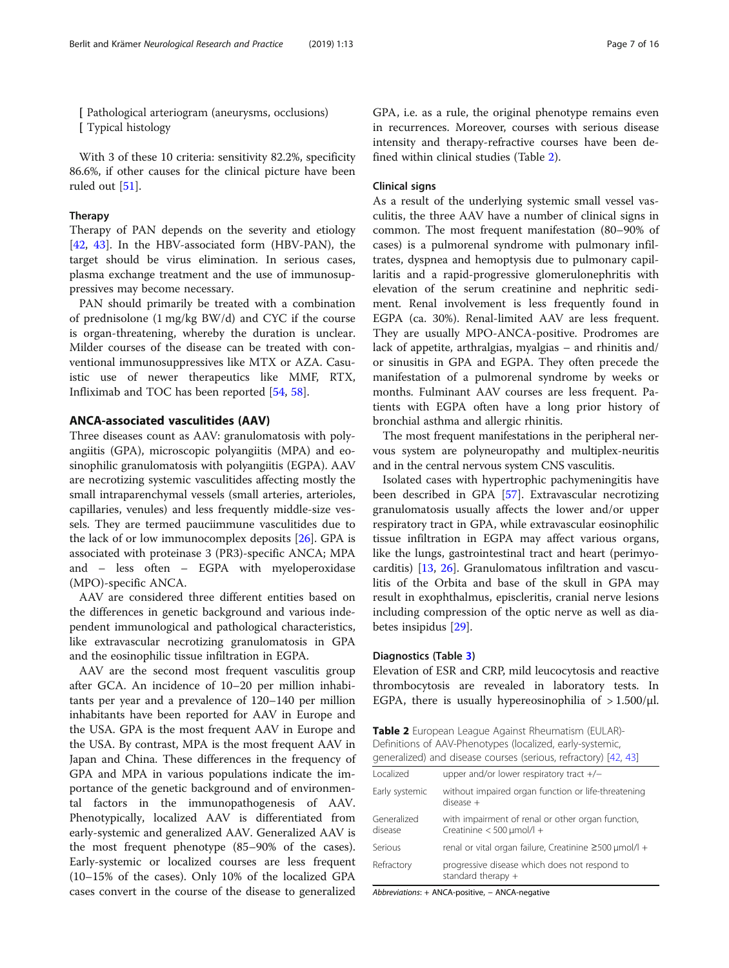[ Pathological arteriogram (aneurysms, occlusions) [ Typical histology

With 3 of these 10 criteria: sensitivity 82.2%, specificity 86.6%, if other causes for the clinical picture have been ruled out [[51](#page-14-0)].

#### Therapy

Therapy of PAN depends on the severity and etiology [[42,](#page-14-0) [43](#page-14-0)]. In the HBV-associated form (HBV-PAN), the target should be virus elimination. In serious cases, plasma exchange treatment and the use of immunosuppressives may become necessary.

PAN should primarily be treated with a combination of prednisolone (1 mg/kg BW/d) and CYC if the course is organ-threatening, whereby the duration is unclear. Milder courses of the disease can be treated with conventional immunosuppressives like MTX or AZA. Casuistic use of newer therapeutics like MMF, RTX, Infliximab and TOC has been reported [[54,](#page-14-0) [58\]](#page-14-0).

#### ANCA-associated vasculitides (AAV)

Three diseases count as AAV: granulomatosis with polyangiitis (GPA), microscopic polyangiitis (MPA) and eosinophilic granulomatosis with polyangiitis (EGPA). AAV are necrotizing systemic vasculitides affecting mostly the small intraparenchymal vessels (small arteries, arterioles, capillaries, venules) and less frequently middle-size vessels. They are termed pauciimmune vasculitides due to the lack of or low immunocomplex deposits [[26\]](#page-13-0). GPA is associated with proteinase 3 (PR3)-specific ANCA; MPA and – less often – EGPA with myeloperoxidase (MPO)-specific ANCA.

AAV are considered three different entities based on the differences in genetic background and various independent immunological and pathological characteristics, like extravascular necrotizing granulomatosis in GPA and the eosinophilic tissue infiltration in EGPA.

AAV are the second most frequent vasculitis group after GCA. An incidence of 10–20 per million inhabitants per year and a prevalence of 120–140 per million inhabitants have been reported for AAV in Europe and the USA. GPA is the most frequent AAV in Europe and the USA. By contrast, MPA is the most frequent AAV in Japan and China. These differences in the frequency of GPA and MPA in various populations indicate the importance of the genetic background and of environmental factors in the immunopathogenesis of AAV. Phenotypically, localized AAV is differentiated from early-systemic and generalized AAV. Generalized AAV is the most frequent phenotype (85–90% of the cases). Early-systemic or localized courses are less frequent (10–15% of the cases). Only 10% of the localized GPA cases convert in the course of the disease to generalized GPA, i.e. as a rule, the original phenotype remains even in recurrences. Moreover, courses with serious disease intensity and therapy-refractive courses have been defined within clinical studies (Table 2).

#### Clinical signs

As a result of the underlying systemic small vessel vasculitis, the three AAV have a number of clinical signs in common. The most frequent manifestation (80–90% of cases) is a pulmorenal syndrome with pulmonary infiltrates, dyspnea and hemoptysis due to pulmonary capillaritis and a rapid-progressive glomerulonephritis with elevation of the serum creatinine and nephritic sediment. Renal involvement is less frequently found in EGPA (ca. 30%). Renal-limited AAV are less frequent. They are usually MPO-ANCA-positive. Prodromes are lack of appetite, arthralgias, myalgias – and rhinitis and/ or sinusitis in GPA and EGPA. They often precede the manifestation of a pulmorenal syndrome by weeks or months. Fulminant AAV courses are less frequent. Patients with EGPA often have a long prior history of bronchial asthma and allergic rhinitis.

The most frequent manifestations in the peripheral nervous system are polyneuropathy and multiplex-neuritis and in the central nervous system CNS vasculitis.

Isolated cases with hypertrophic pachymeningitis have been described in GPA [\[57\]](#page-14-0). Extravascular necrotizing granulomatosis usually affects the lower and/or upper respiratory tract in GPA, while extravascular eosinophilic tissue infiltration in EGPA may affect various organs, like the lungs, gastrointestinal tract and heart (perimyocarditis) [[13](#page-13-0), [26](#page-13-0)]. Granulomatous infiltration and vasculitis of the Orbita and base of the skull in GPA may result in exophthalmus, episcleritis, cranial nerve lesions including compression of the optic nerve as well as diabetes insipidus [\[29\]](#page-14-0).

#### Diagnostics (Table [3\)](#page-7-0)

Elevation of ESR and CRP, mild leucocytosis and reactive thrombocytosis are revealed in laboratory tests. In EGPA, there is usually hypereosinophilia of  $> 1.500/\mu$ l.

Table 2 European League Against Rheumatism (EULAR)-Definitions of AAV-Phenotypes (localized, early-systemic, generalized) and disease courses (serious, refractory) [\[42](#page-14-0), [43\]](#page-14-0)

| Localized              | upper and/or lower respiratory tract $+/-$                                     |
|------------------------|--------------------------------------------------------------------------------|
| Early systemic         | without impaired organ function or life-threatening<br>disease +               |
| Generalized<br>disease | with impairment of renal or other organ function,<br>Creatinine < 500 µmol/l + |
| Serious                | renal or vital organ failure, Creatinine ≥500 µmol/l +                         |
| Refractory             | progressive disease which does not respond to<br>standard therapy $+$          |

Abbreviations: + ANCA-positive, − ANCA-negative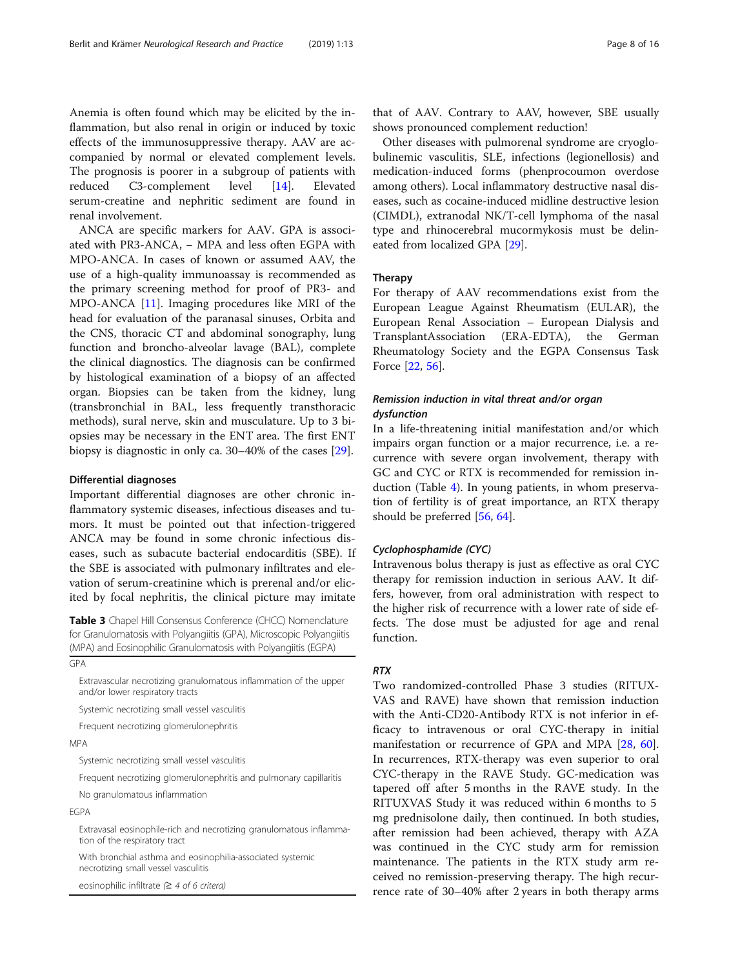<span id="page-7-0"></span>Anemia is often found which may be elicited by the inflammation, but also renal in origin or induced by toxic effects of the immunosuppressive therapy. AAV are accompanied by normal or elevated complement levels. The prognosis is poorer in a subgroup of patients with reduced C3-complement level [\[14\]](#page-13-0). Elevated serum-creatine and nephritic sediment are found in renal involvement.

ANCA are specific markers for AAV. GPA is associated with PR3-ANCA, − MPA and less often EGPA with MPO-ANCA. In cases of known or assumed AAV, the use of a high-quality immunoassay is recommended as the primary screening method for proof of PR3- and MPO-ANCA [\[11](#page-13-0)]. Imaging procedures like MRI of the head for evaluation of the paranasal sinuses, Orbita and the CNS, thoracic CT and abdominal sonography, lung function and broncho-alveolar lavage (BAL), complete the clinical diagnostics. The diagnosis can be confirmed by histological examination of a biopsy of an affected organ. Biopsies can be taken from the kidney, lung (transbronchial in BAL, less frequently transthoracic methods), sural nerve, skin and musculature. Up to 3 biopsies may be necessary in the ENT area. The first ENT biopsy is diagnostic in only ca. 30–40% of the cases [[29\]](#page-14-0).

#### Differential diagnoses

Important differential diagnoses are other chronic inflammatory systemic diseases, infectious diseases and tumors. It must be pointed out that infection-triggered ANCA may be found in some chronic infectious diseases, such as subacute bacterial endocarditis (SBE). If the SBE is associated with pulmonary infiltrates and elevation of serum-creatinine which is prerenal and/or elicited by focal nephritis, the clinical picture may imitate

Table 3 Chapel Hill Consensus Conference (CHCC) Nomenclature for Granulomatosis with Polyangiitis (GPA), Microscopic Polyangiitis (MPA) and Eosinophilic Granulomatosis with Polyangiitis (EGPA)

GPA

Extravascular necrotizing granulomatous inflammation of the upper and/or lower respiratory tracts

Systemic necrotizing small vessel vasculitis

Frequent necrotizing glomerulonephritis

MPA

Systemic necrotizing small vessel vasculitis

Frequent necrotizing glomerulonephritis and pulmonary capillaritis

No granulomatous inflammation

EGPA

Extravasal eosinophile-rich and necrotizing granulomatous inflammation of the respiratory tract

With bronchial asthma and eosinophilia-associated systemic necrotizing small vessel vasculitis

eosinophilic infiltrate  $(≥ 4 of 6 criteria)$ 

that of AAV. Contrary to AAV, however, SBE usually shows pronounced complement reduction!

Other diseases with pulmorenal syndrome are cryoglobulinemic vasculitis, SLE, infections (legionellosis) and medication-induced forms (phenprocoumon overdose among others). Local inflammatory destructive nasal diseases, such as cocaine-induced midline destructive lesion (CIMDL), extranodal NK/T-cell lymphoma of the nasal type and rhinocerebral mucormykosis must be delineated from localized GPA [[29\]](#page-14-0).

#### Therapy

For therapy of AAV recommendations exist from the European League Against Rheumatism (EULAR), the European Renal Association – European Dialysis and TransplantAssociation (ERA-EDTA), the German Rheumatology Society and the EGPA Consensus Task Force [[22](#page-13-0), [56](#page-14-0)].

#### Remission induction in vital threat and/or organ dysfunction

In a life-threatening initial manifestation and/or which impairs organ function or a major recurrence, i.e. a recurrence with severe organ involvement, therapy with GC and CYC or RTX is recommended for remission induction (Table [4](#page-8-0)). In young patients, in whom preservation of fertility is of great importance, an RTX therapy should be preferred [\[56,](#page-14-0) [64\]](#page-15-0).

#### Cyclophosphamide (CYC)

Intravenous bolus therapy is just as effective as oral CYC therapy for remission induction in serious AAV. It differs, however, from oral administration with respect to the higher risk of recurrence with a lower rate of side effects. The dose must be adjusted for age and renal function.

#### RTX

Two randomized-controlled Phase 3 studies (RITUX-VAS and RAVE) have shown that remission induction with the Anti-CD20-Antibody RTX is not inferior in efficacy to intravenous or oral CYC-therapy in initial manifestation or recurrence of GPA and MPA [\[28](#page-14-0), [60](#page-14-0)]. In recurrences, RTX-therapy was even superior to oral CYC-therapy in the RAVE Study. GC-medication was tapered off after 5 months in the RAVE study. In the RITUXVAS Study it was reduced within 6 months to 5 mg prednisolone daily, then continued. In both studies, after remission had been achieved, therapy with AZA was continued in the CYC study arm for remission maintenance. The patients in the RTX study arm received no remission-preserving therapy. The high recurrence rate of 30–40% after 2 years in both therapy arms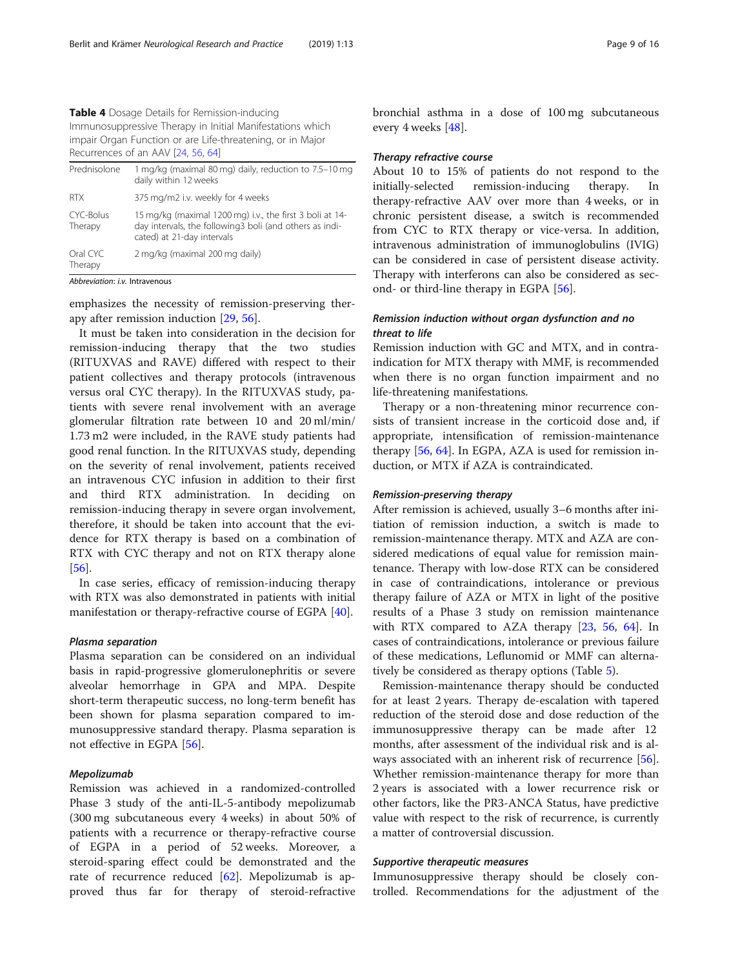<span id="page-8-0"></span>Table 4 Dosage Details for Remission-inducing Immunosuppressive Therapy in Initial Manifestations which impair Organ Function or are Life-threatening, or in Major Recurrences of an AAV [\[24,](#page-13-0) [56](#page-14-0), [64](#page-15-0)]

| Prednisolone         | 1 mg/kg (maximal 80 mg) daily, reduction to 7.5–10 mg<br>daily within 12 weeks                                                                    |
|----------------------|---------------------------------------------------------------------------------------------------------------------------------------------------|
| <b>RTX</b>           | 375 mg/m2 i.v. weekly for 4 weeks                                                                                                                 |
| CYC-Bolus<br>Therapy | 15 mg/kg (maximal 1200 mg) i.v., the first 3 boli at 14-<br>day intervals, the following3 boli (and others as indi-<br>cated) at 21-day intervals |
| Oral CYC<br>Therapy  | 2 mg/kg (maximal 200 mg daily)                                                                                                                    |

Abbreviation: i.v. Intravenous

emphasizes the necessity of remission-preserving therapy after remission induction [[29,](#page-14-0) [56](#page-14-0)].

It must be taken into consideration in the decision for remission-inducing therapy that the two studies (RITUXVAS and RAVE) differed with respect to their patient collectives and therapy protocols (intravenous versus oral CYC therapy). In the RITUXVAS study, patients with severe renal involvement with an average glomerular filtration rate between 10 and 20 ml/min/ 1.73 m2 were included, in the RAVE study patients had good renal function. In the RITUXVAS study, depending on the severity of renal involvement, patients received an intravenous CYC infusion in addition to their first and third RTX administration. In deciding on remission-inducing therapy in severe organ involvement, therefore, it should be taken into account that the evidence for RTX therapy is based on a combination of RTX with CYC therapy and not on RTX therapy alone [[56\]](#page-14-0).

In case series, efficacy of remission-inducing therapy with RTX was also demonstrated in patients with initial manifestation or therapy-refractive course of EGPA [\[40](#page-14-0)].

#### Plasma separation

Plasma separation can be considered on an individual basis in rapid-progressive glomerulonephritis or severe alveolar hemorrhage in GPA and MPA. Despite short-term therapeutic success, no long-term benefit has been shown for plasma separation compared to immunosuppressive standard therapy. Plasma separation is not effective in EGPA [[56\]](#page-14-0).

#### Mepolizumab

Remission was achieved in a randomized-controlled Phase 3 study of the anti-IL-5-antibody mepolizumab (300 mg subcutaneous every 4 weeks) in about 50% of patients with a recurrence or therapy-refractive course of EGPA in a period of 52 weeks. Moreover, a steroid-sparing effect could be demonstrated and the rate of recurrence reduced [[62](#page-14-0)]. Mepolizumab is approved thus far for therapy of steroid-refractive

bronchial asthma in a dose of 100 mg subcutaneous every 4 weeks [[48](#page-14-0)].

#### Therapy refractive course

About 10 to 15% of patients do not respond to the initially-selected remission-inducing therapy. In therapy-refractive AAV over more than 4 weeks, or in chronic persistent disease, a switch is recommended from CYC to RTX therapy or vice-versa. In addition, intravenous administration of immunoglobulins (IVIG) can be considered in case of persistent disease activity. Therapy with interferons can also be considered as second- or third-line therapy in EGPA [\[56](#page-14-0)].

#### Remission induction without organ dysfunction and no threat to life

Remission induction with GC and MTX, and in contraindication for MTX therapy with MMF, is recommended when there is no organ function impairment and no life-threatening manifestations.

Therapy or a non-threatening minor recurrence consists of transient increase in the corticoid dose and, if appropriate, intensification of remission-maintenance therapy [\[56](#page-14-0), [64](#page-15-0)]. In EGPA, AZA is used for remission induction, or MTX if AZA is contraindicated.

#### Remission-preserving therapy

After remission is achieved, usually 3–6 months after initiation of remission induction, a switch is made to remission-maintenance therapy. MTX and AZA are considered medications of equal value for remission maintenance. Therapy with low-dose RTX can be considered in case of contraindications, intolerance or previous therapy failure of AZA or MTX in light of the positive results of a Phase 3 study on remission maintenance with RTX compared to AZA therapy [\[23](#page-13-0), [56](#page-14-0), [64](#page-15-0)]. In cases of contraindications, intolerance or previous failure of these medications, Leflunomid or MMF can alternatively be considered as therapy options (Table [5](#page-9-0)).

Remission-maintenance therapy should be conducted for at least 2 years. Therapy de-escalation with tapered reduction of the steroid dose and dose reduction of the immunosuppressive therapy can be made after 12 months, after assessment of the individual risk and is always associated with an inherent risk of recurrence [\[56](#page-14-0)]. Whether remission-maintenance therapy for more than 2 years is associated with a lower recurrence risk or other factors, like the PR3-ANCA Status, have predictive value with respect to the risk of recurrence, is currently a matter of controversial discussion.

#### Supportive therapeutic measures

Immunosuppressive therapy should be closely controlled. Recommendations for the adjustment of the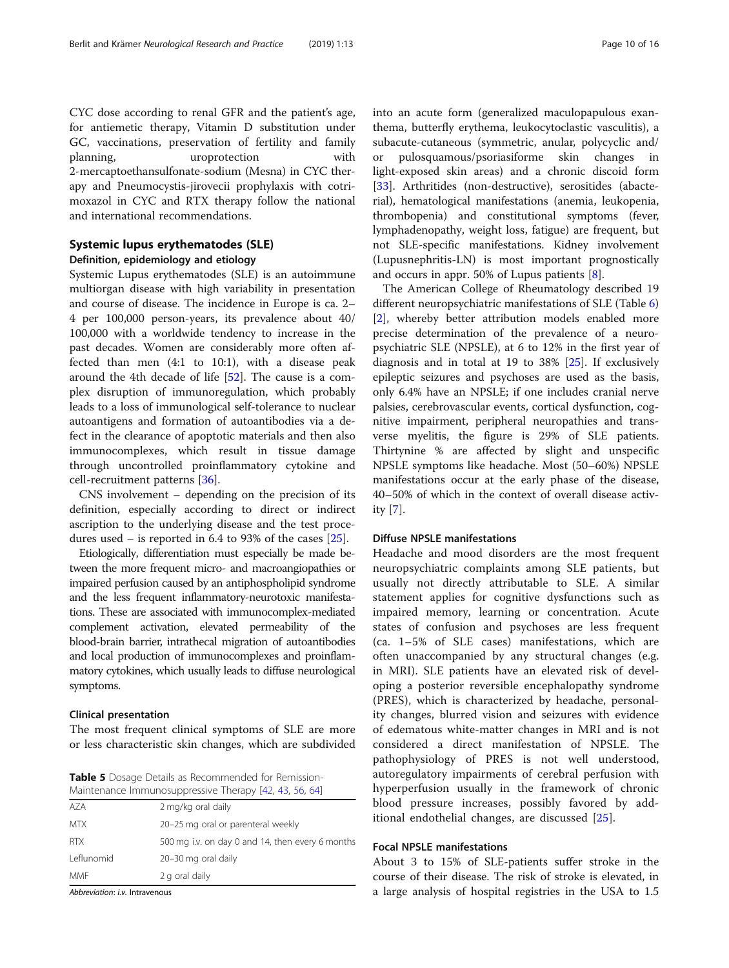<span id="page-9-0"></span>CYC dose according to renal GFR and the patient's age, for antiemetic therapy, Vitamin D substitution under GC, vaccinations, preservation of fertility and family planning, uroprotection with 2-mercaptoethansulfonate-sodium (Mesna) in CYC therapy and Pneumocystis-jirovecii prophylaxis with cotrimoxazol in CYC and RTX therapy follow the national and international recommendations.

### Systemic lupus erythematodes (SLE)

#### Definition, epidemiology and etiology

Systemic Lupus erythematodes (SLE) is an autoimmune multiorgan disease with high variability in presentation and course of disease. The incidence in Europe is ca. 2– 4 per 100,000 person-years, its prevalence about 40/ 100,000 with a worldwide tendency to increase in the past decades. Women are considerably more often affected than men (4:1 to 10:1), with a disease peak around the 4th decade of life [\[52\]](#page-14-0). The cause is a complex disruption of immunoregulation, which probably leads to a loss of immunological self-tolerance to nuclear autoantigens and formation of autoantibodies via a defect in the clearance of apoptotic materials and then also immunocomplexes, which result in tissue damage through uncontrolled proinflammatory cytokine and cell-recruitment patterns [[36\]](#page-14-0).

CNS involvement – depending on the precision of its definition, especially according to direct or indirect ascription to the underlying disease and the test procedures used – is reported in 6.4 to 93% of the cases  $[25]$ .

Etiologically, differentiation must especially be made between the more frequent micro- and macroangiopathies or impaired perfusion caused by an antiphospholipid syndrome and the less frequent inflammatory-neurotoxic manifestations. These are associated with immunocomplex-mediated complement activation, elevated permeability of the blood-brain barrier, intrathecal migration of autoantibodies and local production of immunocomplexes and proinflammatory cytokines, which usually leads to diffuse neurological symptoms.

#### Clinical presentation

The most frequent clinical symptoms of SLE are more or less characteristic skin changes, which are subdivided

Table 5 Dosage Details as Recommended for Remission-Maintenance Immunosuppressive Therapy [\[42,](#page-14-0) [43,](#page-14-0) [56,](#page-14-0) [64](#page-15-0)]

| A7A        | 2 mg/kg oral daily                               |
|------------|--------------------------------------------------|
| <b>MTX</b> | 20-25 mg oral or parenteral weekly               |
| RTX        | 500 mg i.v. on day 0 and 14, then every 6 months |
| Leflunomid | 20-30 mg oral daily                              |
| MMF        | 2 g oral daily                                   |
|            |                                                  |

Abbreviation: i.v. Intravenous

into an acute form (generalized maculopapulous exanthema, butterfly erythema, leukocytoclastic vasculitis), a subacute-cutaneous (symmetric, anular, polycyclic and/ pulosquamous/psoriasiforme skin changes in light-exposed skin areas) and a chronic discoid form [[33\]](#page-14-0). Arthritides (non-destructive), serositides (abacterial), hematological manifestations (anemia, leukopenia, thrombopenia) and constitutional symptoms (fever, lymphadenopathy, weight loss, fatigue) are frequent, but not SLE-specific manifestations. Kidney involvement (Lupusnephritis-LN) is most important prognostically and occurs in appr. 50% of Lupus patients [[8\]](#page-13-0).

The American College of Rheumatology described 19 different neuropsychiatric manifestations of SLE (Table [6](#page-10-0)) [[2\]](#page-13-0), whereby better attribution models enabled more precise determination of the prevalence of a neuropsychiatric SLE (NPSLE), at 6 to 12% in the first year of diagnosis and in total at 19 to 38% [[25\]](#page-13-0). If exclusively epileptic seizures and psychoses are used as the basis, only 6.4% have an NPSLE; if one includes cranial nerve palsies, cerebrovascular events, cortical dysfunction, cognitive impairment, peripheral neuropathies and transverse myelitis, the figure is 29% of SLE patients. Thirtynine % are affected by slight and unspecific NPSLE symptoms like headache. Most (50–60%) NPSLE manifestations occur at the early phase of the disease, 40–50% of which in the context of overall disease activity [[7\]](#page-13-0).

#### Diffuse NPSLE manifestations

Headache and mood disorders are the most frequent neuropsychiatric complaints among SLE patients, but usually not directly attributable to SLE. A similar statement applies for cognitive dysfunctions such as impaired memory, learning or concentration. Acute states of confusion and psychoses are less frequent (ca. 1–5% of SLE cases) manifestations, which are often unaccompanied by any structural changes (e.g. in MRI). SLE patients have an elevated risk of developing a posterior reversible encephalopathy syndrome (PRES), which is characterized by headache, personality changes, blurred vision and seizures with evidence of edematous white-matter changes in MRI and is not considered a direct manifestation of NPSLE. The pathophysiology of PRES is not well understood, autoregulatory impairments of cerebral perfusion with hyperperfusion usually in the framework of chronic blood pressure increases, possibly favored by additional endothelial changes, are discussed [[25\]](#page-13-0).

#### Focal NPSLE manifestations

About 3 to 15% of SLE-patients suffer stroke in the course of their disease. The risk of stroke is elevated, in a large analysis of hospital registries in the USA to 1.5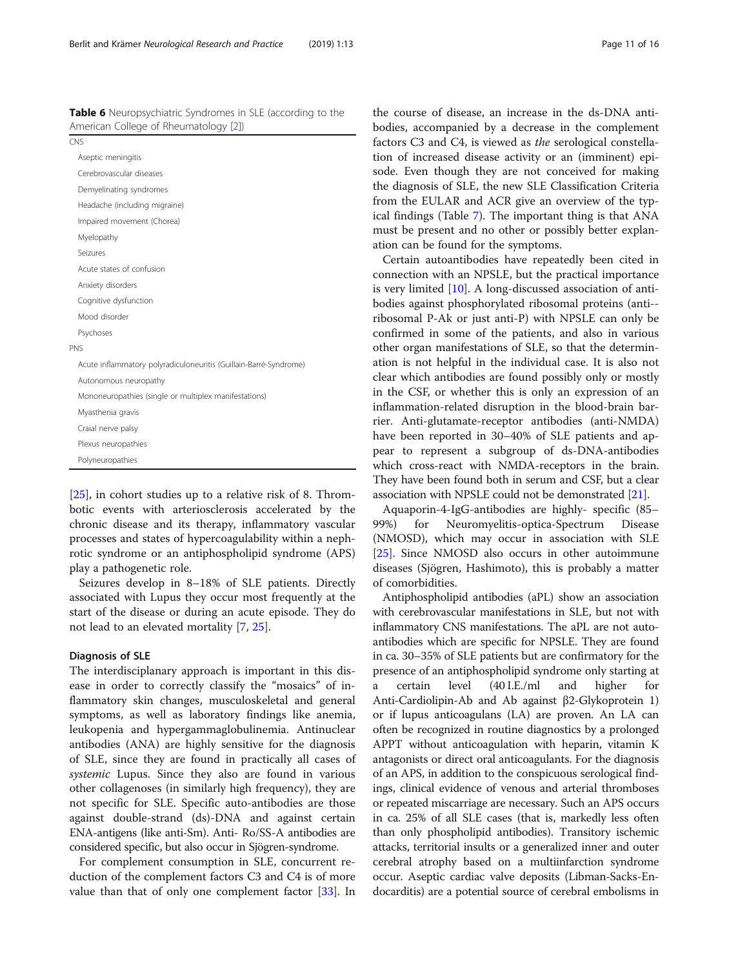<span id="page-10-0"></span>Table 6 Neuropsychiatric Syndromes in SLE (according to the American College of Rheumatology [[2\]](#page-13-0))

| <b>CNS</b>                                                        |
|-------------------------------------------------------------------|
| Aseptic meningitis                                                |
| Cerebrovascular diseases                                          |
| Demyelinating syndromes                                           |
| Headache (including migraine)                                     |
| Impaired movement (Chorea)                                        |
| Myelopathy                                                        |
| Seizures                                                          |
| Acute states of confusion                                         |
| Anxiety disorders                                                 |
| Cognitive dysfunction                                             |
| Mood disorder                                                     |
| Psychoses                                                         |
| PNS                                                               |
| Acute inflammatory polyradiculoneuritis (Guillain-Barré-Syndrome) |
| Autonomous neuropathy                                             |
| Mononeuropathies (single or multiplex manifestations)             |
| Myasthenia gravis                                                 |
| Craial nerve palsy                                                |
| Plexus neuropathies                                               |
| Polyneuropathies                                                  |

[[25\]](#page-13-0), in cohort studies up to a relative risk of 8. Thrombotic events with arteriosclerosis accelerated by the chronic disease and its therapy, inflammatory vascular processes and states of hypercoagulability within a nephrotic syndrome or an antiphospholipid syndrome (APS) play a pathogenetic role.

Seizures develop in 8–18% of SLE patients. Directly associated with Lupus they occur most frequently at the start of the disease or during an acute episode. They do not lead to an elevated mortality [\[7](#page-13-0), [25](#page-13-0)].

#### Diagnosis of SLE

The interdisciplanary approach is important in this disease in order to correctly classify the "mosaics" of inflammatory skin changes, musculoskeletal and general symptoms, as well as laboratory findings like anemia, leukopenia and hypergammaglobulinemia. Antinuclear antibodies (ANA) are highly sensitive for the diagnosis of SLE, since they are found in practically all cases of systemic Lupus. Since they also are found in various other collagenoses (in similarly high frequency), they are not specific for SLE. Specific auto-antibodies are those against double-strand (ds)-DNA and against certain ENA-antigens (like anti-Sm). Anti- Ro/SS-A antibodies are considered specific, but also occur in Sjögren-syndrome.

For complement consumption in SLE, concurrent reduction of the complement factors C3 and C4 is of more value than that of only one complement factor [[33\]](#page-14-0). In

the course of disease, an increase in the ds-DNA antibodies, accompanied by a decrease in the complement factors C3 and C4, is viewed as the serological constellation of increased disease activity or an (imminent) episode. Even though they are not conceived for making the diagnosis of SLE, the new SLE Classification Criteria from the EULAR and ACR give an overview of the typical findings (Table [7](#page-11-0)). The important thing is that ANA must be present and no other or possibly better explanation can be found for the symptoms.

Certain autoantibodies have repeatedly been cited in connection with an NPSLE, but the practical importance is very limited [\[10\]](#page-13-0). A long-discussed association of antibodies against phosphorylated ribosomal proteins (anti- ribosomal P-Ak or just anti-P) with NPSLE can only be confirmed in some of the patients, and also in various other organ manifestations of SLE, so that the determination is not helpful in the individual case. It is also not clear which antibodies are found possibly only or mostly in the CSF, or whether this is only an expression of an inflammation-related disruption in the blood-brain barrier. Anti-glutamate-receptor antibodies (anti-NMDA) have been reported in 30–40% of SLE patients and appear to represent a subgroup of ds-DNA-antibodies which cross-react with NMDA-receptors in the brain. They have been found both in serum and CSF, but a clear association with NPSLE could not be demonstrated [\[21\]](#page-13-0).

Aquaporin-4-IgG-antibodies are highly- specific (85– 99%) for Neuromyelitis-optica-Spectrum Disease (NMOSD), which may occur in association with SLE [[25\]](#page-13-0). Since NMOSD also occurs in other autoimmune diseases (Sjögren, Hashimoto), this is probably a matter of comorbidities.

Antiphospholipid antibodies (aPL) show an association with cerebrovascular manifestations in SLE, but not with inflammatory CNS manifestations. The aPL are not autoantibodies which are specific for NPSLE. They are found in ca. 30–35% of SLE patients but are confirmatory for the presence of an antiphospholipid syndrome only starting at a certain level (40 I.E./ml and higher for Anti-Cardiolipin-Ab and Ab against β2-Glykoprotein 1) or if lupus anticoagulans (LA) are proven. An LA can often be recognized in routine diagnostics by a prolonged APPT without anticoagulation with heparin, vitamin K antagonists or direct oral anticoagulants. For the diagnosis of an APS, in addition to the conspicuous serological findings, clinical evidence of venous and arterial thromboses or repeated miscarriage are necessary. Such an APS occurs in ca. 25% of all SLE cases (that is, markedly less often than only phospholipid antibodies). Transitory ischemic attacks, territorial insults or a generalized inner and outer cerebral atrophy based on a multiinfarction syndrome occur. Aseptic cardiac valve deposits (Libman-Sacks-Endocarditis) are a potential source of cerebral embolisms in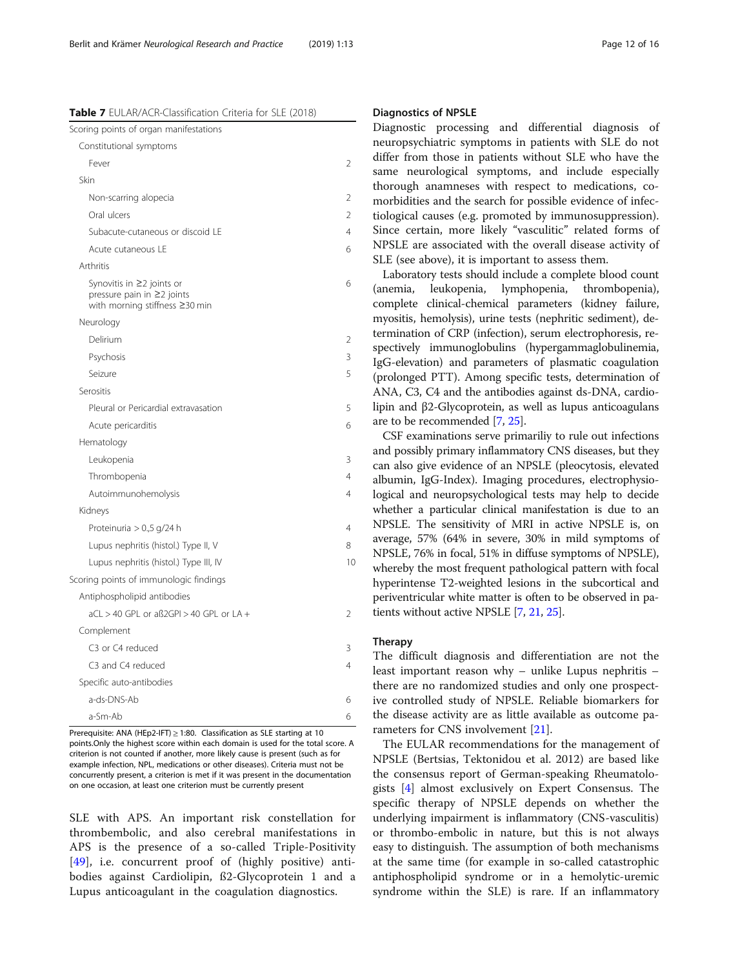#### <span id="page-11-0"></span>Table 7 EULAR/ACR-Classification Criteria for SLE (2018)

| Scoring points of organ manifestations                                                        |                |
|-----------------------------------------------------------------------------------------------|----------------|
| Constitutional symptoms                                                                       |                |
| Fever                                                                                         | $\mathfrak{D}$ |
| Skin                                                                                          |                |
| Non-scarring alopecia                                                                         | 2              |
| Oral ulcers                                                                                   | $\mathfrak{D}$ |
| Subacute-cutaneous or discoid LE                                                              | 4              |
| Acute cutaneous LE                                                                            | 6              |
| Arthritis                                                                                     |                |
| Synovitis in $\geq$ joints or<br>pressure pain in ≥2 joints<br>with morning stiffness ≥30 min | 6              |
| Neurology                                                                                     |                |
| Delirium                                                                                      | 2              |
| Psychosis                                                                                     | 3              |
| Seizure                                                                                       | 5              |
| Serositis                                                                                     |                |
| Pleural or Pericardial extravasation                                                          | 5              |
| Acute pericarditis                                                                            | 6              |
| Hematology                                                                                    |                |
| Leukopenia                                                                                    | 3              |
| Thrombopenia                                                                                  | 4              |
| Autoimmunohemolysis                                                                           | 4              |
| Kidneys                                                                                       |                |
| Proteinuria > 0.,5 g/24 h                                                                     | 4              |
| Lupus nephritis (histol.) Type II, V                                                          | 8              |
| Lupus nephritis (histol.) Type III, IV                                                        | 10             |
| Scoring points of immunologic findings                                                        |                |
| Antiphospholipid antibodies                                                                   |                |
| $aCL > 40$ GPL or $aB2GP$ $> 40$ GPL or LA +                                                  | 2              |
| Complement                                                                                    |                |
| C3 or C4 reduced                                                                              | 3              |
| C3 and C4 reduced                                                                             | 4              |
| Specific auto-antibodies                                                                      |                |
| a-ds-DNS-Ab                                                                                   | 6              |
| a-Sm-Ab                                                                                       | 6              |

Prerequisite: ANA (HEp2-IFT)  $\geq$  1:80. Classification as SLE starting at 10 points.Only the highest score within each domain is used for the total score. A criterion is not counted if another, more likely cause is present (such as for example infection, NPL, medications or other diseases). Criteria must not be concurrently present, a criterion is met if it was present in the documentation on one occasion, at least one criterion must be currently present

SLE with APS. An important risk constellation for thrombembolic, and also cerebral manifestations in APS is the presence of a so-called Triple-Positivity [[49\]](#page-14-0), i.e. concurrent proof of (highly positive) antibodies against Cardiolipin, ß2-Glycoprotein 1 and a Lupus anticoagulant in the coagulation diagnostics.

#### Diagnostics of NPSLE

Diagnostic processing and differential diagnosis of neuropsychiatric symptoms in patients with SLE do not differ from those in patients without SLE who have the same neurological symptoms, and include especially thorough anamneses with respect to medications, comorbidities and the search for possible evidence of infectiological causes (e.g. promoted by immunosuppression). Since certain, more likely "vasculitic" related forms of NPSLE are associated with the overall disease activity of SLE (see above), it is important to assess them.

Laboratory tests should include a complete blood count (anemia, leukopenia, lymphopenia, thrombopenia), complete clinical-chemical parameters (kidney failure, myositis, hemolysis), urine tests (nephritic sediment), determination of CRP (infection), serum electrophoresis, respectively immunoglobulins (hypergammaglobulinemia, IgG-elevation) and parameters of plasmatic coagulation (prolonged PTT). Among specific tests, determination of ANA, C3, C4 and the antibodies against ds-DNA, cardiolipin and β2-Glycoprotein, as well as lupus anticoagulans are to be recommended [[7,](#page-13-0) [25\]](#page-13-0).

CSF examinations serve primariliy to rule out infections and possibly primary inflammatory CNS diseases, but they can also give evidence of an NPSLE (pleocytosis, elevated albumin, IgG-Index). Imaging procedures, electrophysiological and neuropsychological tests may help to decide whether a particular clinical manifestation is due to an NPSLE. The sensitivity of MRI in active NPSLE is, on average, 57% (64% in severe, 30% in mild symptoms of NPSLE, 76% in focal, 51% in diffuse symptoms of NPSLE), whereby the most frequent pathological pattern with focal hyperintense T2-weighted lesions in the subcortical and periventricular white matter is often to be observed in patients without active NPSLE [[7,](#page-13-0) [21,](#page-13-0) [25](#page-13-0)].

#### **Therapy**

The difficult diagnosis and differentiation are not the least important reason why – unlike Lupus nephritis – there are no randomized studies and only one prospective controlled study of NPSLE. Reliable biomarkers for the disease activity are as little available as outcome parameters for CNS involvement [\[21](#page-13-0)].

The EULAR recommendations for the management of NPSLE (Bertsias, Tektonidou et al. 2012) are based like the consensus report of German-speaking Rheumatologists [[4\]](#page-13-0) almost exclusively on Expert Consensus. The specific therapy of NPSLE depends on whether the underlying impairment is inflammatory (CNS-vasculitis) or thrombo-embolic in nature, but this is not always easy to distinguish. The assumption of both mechanisms at the same time (for example in so-called catastrophic antiphospholipid syndrome or in a hemolytic-uremic syndrome within the SLE) is rare. If an inflammatory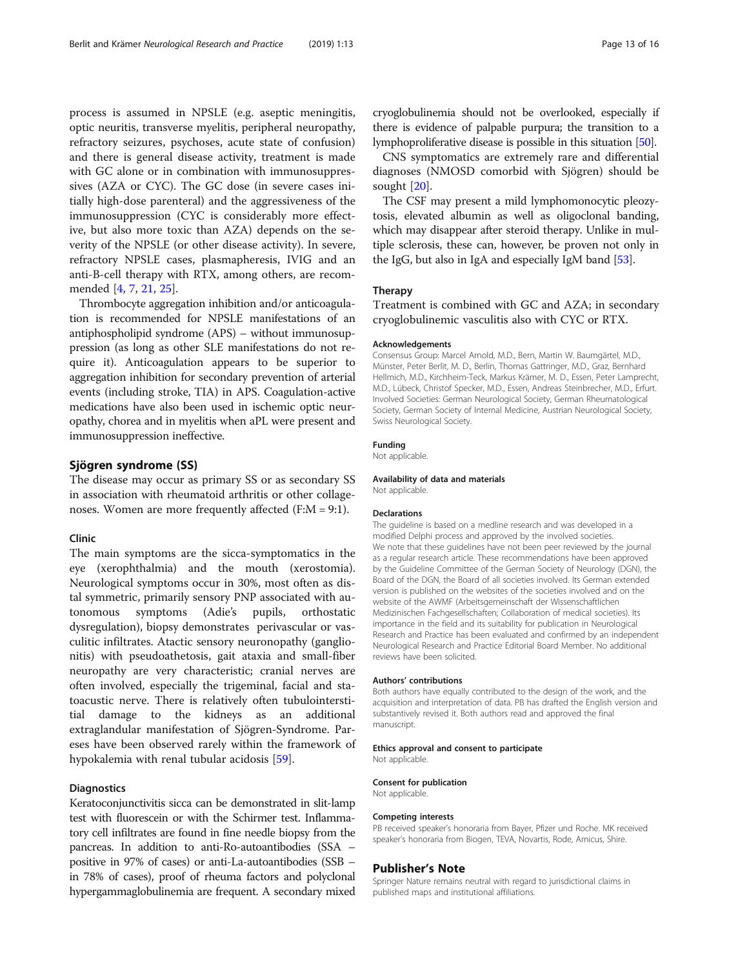process is assumed in NPSLE (e.g. aseptic meningitis, optic neuritis, transverse myelitis, peripheral neuropathy, refractory seizures, psychoses, acute state of confusion) and there is general disease activity, treatment is made with GC alone or in combination with immunosuppressives (AZA or CYC). The GC dose (in severe cases initially high-dose parenteral) and the aggressiveness of the immunosuppression (CYC is considerably more effective, but also more toxic than AZA) depends on the severity of the NPSLE (or other disease activity). In severe, refractory NPSLE cases, plasmapheresis, IVIG and an anti-B-cell therapy with RTX, among others, are recommended [[4,](#page-13-0) [7,](#page-13-0) [21](#page-13-0), [25](#page-13-0)].

Thrombocyte aggregation inhibition and/or anticoagulation is recommended for NPSLE manifestations of an antiphospholipid syndrome (APS) – without immunosuppression (as long as other SLE manifestations do not require it). Anticoagulation appears to be superior to aggregation inhibition for secondary prevention of arterial events (including stroke, TIA) in APS. Coagulation-active medications have also been used in ischemic optic neuropathy, chorea and in myelitis when aPL were present and immunosuppression ineffective.

#### Sjögren syndrome (SS)

The disease may occur as primary SS or as secondary SS in association with rheumatoid arthritis or other collagenoses. Women are more frequently affected (F:M = 9:1).

#### Clinic

The main symptoms are the sicca-symptomatics in the eye (xerophthalmia) and the mouth (xerostomia). Neurological symptoms occur in 30%, most often as distal symmetric, primarily sensory PNP associated with autonomous symptoms (Adie's pupils, orthostatic dysregulation), biopsy demonstrates perivascular or vasculitic infiltrates. Atactic sensory neuronopathy (ganglionitis) with pseudoathetosis, gait ataxia and small-fiber neuropathy are very characteristic; cranial nerves are often involved, especially the trigeminal, facial and statoacustic nerve. There is relatively often tubulointerstitial damage to the kidneys as an additional extraglandular manifestation of Sjögren-Syndrome. Pareses have been observed rarely within the framework of hypokalemia with renal tubular acidosis [[59\]](#page-14-0).

#### **Diagnostics**

Keratoconjunctivitis sicca can be demonstrated in slit-lamp test with fluorescein or with the Schirmer test. Inflammatory cell infiltrates are found in fine needle biopsy from the pancreas. In addition to anti-Ro-autoantibodies (SSA – positive in 97% of cases) or anti-La-autoantibodies (SSB – in 78% of cases), proof of rheuma factors and polyclonal hypergammaglobulinemia are frequent. A secondary mixed

cryoglobulinemia should not be overlooked, especially if there is evidence of palpable purpura; the transition to a lymphoproliferative disease is possible in this situation [\[50\]](#page-14-0).

CNS symptomatics are extremely rare and differential diagnoses (NMOSD comorbid with Sjögren) should be sought [\[20](#page-13-0)].

The CSF may present a mild lymphomonocytic pleozytosis, elevated albumin as well as oligoclonal banding, which may disappear after steroid therapy. Unlike in multiple sclerosis, these can, however, be proven not only in the IgG, but also in IgA and especially IgM band [\[53](#page-14-0)].

#### Therapy

Treatment is combined with GC and AZA; in secondary cryoglobulinemic vasculitis also with CYC or RTX.

#### Acknowledgements

Consensus Group: Marcel Arnold, M.D., Bern, Martin W. Baumgärtel, M.D., Münster, Peter Berlit, M. D., Berlin, Thomas Gattringer, M.D., Graz, Bernhard Hellmich, M.D., Kirchheim-Teck, Markus Krämer, M. D., Essen, Peter Lamprecht, M.D., Lübeck, Christof Specker, M.D., Essen, Andreas Steinbrecher, M.D., Erfurt. Involved Societies: German Neurological Society, German Rheumatological Society, German Society of Internal Medicine, Austrian Neurological Society, Swiss Neurological Society.

#### Funding

Not applicable.

#### Availability of data and materials

Not applicable.

#### Declarations

The guideline is based on a medline research and was developed in a modified Delphi process and approved by the involved societies. We note that these guidelines have not been peer reviewed by the journal as a regular research article. These recommendations have been approved by the Guideline Committee of the German Society of Neurology (DGN), the Board of the DGN, the Board of all societies involved. Its German extended version is published on the websites of the societies involved and on the website of the AWMF (Arbeitsgemeinschaft der Wissenschaftlichen Medizinischen Fachgesellschaften; Collaboration of medical societies). Its importance in the field and its suitability for publication in Neurological Research and Practice has been evaluated and confirmed by an independent Neurological Research and Practice Editorial Board Member. No additional reviews have been solicited.

#### Authors' contributions

Both authors have equally contributed to the design of the work, and the acquisition and interpretation of data. PB has drafted the English version and substantively revised it. Both authors read and approved the final manuscript.

#### Ethics approval and consent to participate

Not applicable.

#### Consent for publication

Not applicable.

#### Competing interests

PB received speaker's honoraria from Bayer, Pfizer und Roche. MK received speaker's honoraria from Biogen, TEVA, Novartis, Rode, Amicus, Shire.

#### Publisher's Note

Springer Nature remains neutral with regard to jurisdictional claims in published maps and institutional affiliations.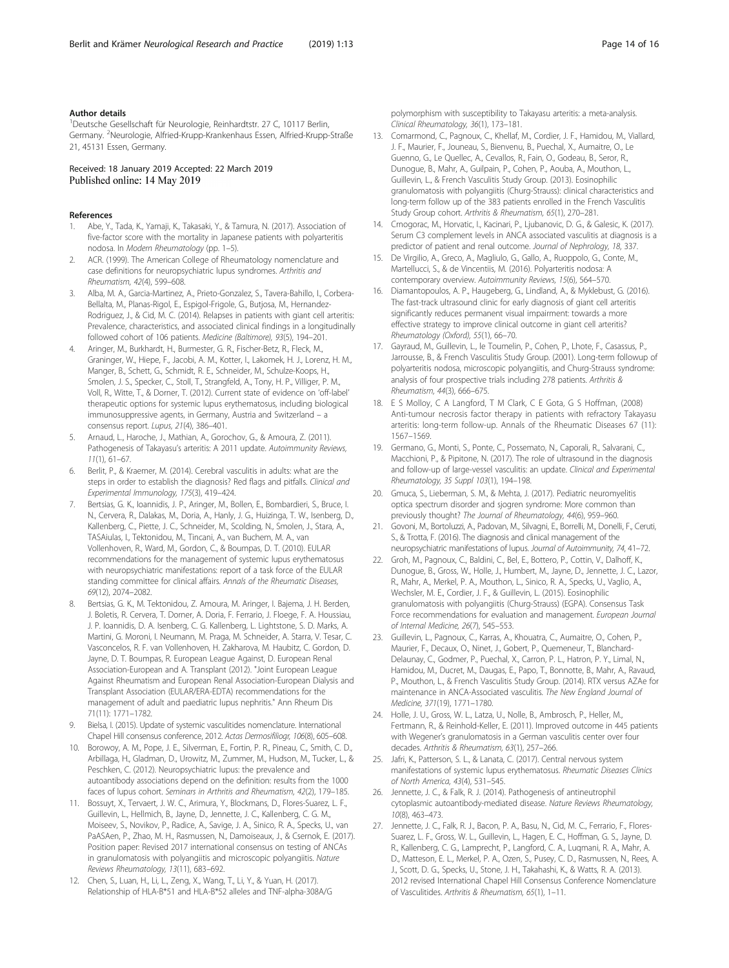#### <span id="page-13-0"></span>Author details

<sup>1</sup>Deutsche Gesellschaft für Neurologie, Reinhardtstr. 27 C, 10117 Berlin, Germany. <sup>2</sup>Neurologie, Alfried-Krupp-Krankenhaus Essen, Alfried-Krupp-Straße 21, 45131 Essen, Germany.

#### Received: 18 January 2019 Accepted: 22 March 2019 Published online: 14 May 2019

#### References

- 1. Abe, Y., Tada, K., Yamaji, K., Takasaki, Y., & Tamura, N. (2017). Association of five-factor score with the mortality in Japanese patients with polyarteritis nodosa. In Modern Rheumatology (pp. 1–5).
- 2. ACR. (1999). The American College of Rheumatology nomenclature and case definitions for neuropsychiatric lupus syndromes. Arthritis and Rheumatism, 42(4), 599–608.
- 3. Alba, M. A., Garcia-Martinez, A., Prieto-Gonzalez, S., Tavera-Bahillo, I., Corbera-Bellalta, M., Planas-Rigol, E., Espigol-Frigole, G., Butjosa, M., Hernandez-Rodriguez, J., & Cid, M. C. (2014). Relapses in patients with giant cell arteritis: Prevalence, characteristics, and associated clinical findings in a longitudinally followed cohort of 106 patients. Medicine (Baltimore), 93(5), 194–201.
- 4. Aringer, M., Burkhardt, H., Burmester, G. R., Fischer-Betz, R., Fleck, M., Graninger, W., Hiepe, F., Jacobi, A. M., Kotter, I., Lakomek, H. J., Lorenz, H. M., Manger, B., Schett, G., Schmidt, R. E., Schneider, M., Schulze-Koops, H., Smolen, J. S., Specker, C., Stoll, T., Strangfeld, A., Tony, H. P., Villiger, P. M., Voll, R., Witte, T., & Dorner, T. (2012). Current state of evidence on 'off-label' therapeutic options for systemic lupus erythematosus, including biological immunosuppressive agents, in Germany, Austria and Switzerland – a consensus report. Lupus, 21(4), 386–401.
- Arnaud, L., Haroche, J., Mathian, A., Gorochov, G., & Amoura, Z. (2011). Pathogenesis of Takayasu's arteritis: A 2011 update. Autoimmunity Reviews, 11(1), 61–67.
- 6. Berlit, P., & Kraemer, M. (2014). Cerebral vasculitis in adults: what are the steps in order to establish the diagnosis? Red flags and pitfalls. Clinical and Experimental Immunology, 175(3), 419–424.
- 7. Bertsias, G. K., Ioannidis, J. P., Aringer, M., Bollen, E., Bombardieri, S., Bruce, I. N., Cervera, R., Dalakas, M., Doria, A., Hanly, J. G., Huizinga, T. W., Isenberg, D., Kallenberg, C., Piette, J. C., Schneider, M., Scolding, N., Smolen, J., Stara, A., TASAiulas, I., Tektonidou, M., Tincani, A., van Buchem, M. A., van Vollenhoven, R., Ward, M., Gordon, C., & Boumpas, D. T. (2010). EULAR recommendations for the management of systemic lupus erythematosus with neuropsychiatric manifestations: report of a task force of the EULAR standing committee for clinical affairs. Annals of the Rheumatic Diseases, 69(12), 2074–2082.
- 8. Bertsias, G. K., M. Tektonidou, Z. Amoura, M. Aringer, I. Bajema, J. H. Berden, J. Boletis, R. Cervera, T. Dorner, A. Doria, F. Ferrario, J. Floege, F. A. Houssiau, J. P. Ioannidis, D. A. Isenberg, C. G. Kallenberg, L. Lightstone, S. D. Marks, A. Martini, G. Moroni, I. Neumann, M. Praga, M. Schneider, A. Starra, V. Tesar, C. Vasconcelos, R. F. van Vollenhoven, H. Zakharova, M. Haubitz, C. Gordon, D. Jayne, D. T. Boumpas, R. European League Against, D. European Renal Association-European and A. Transplant (2012). "Joint European League Against Rheumatism and European Renal Association-European Dialysis and Transplant Association (EULAR/ERA-EDTA) recommendations for the management of adult and paediatric lupus nephritis." Ann Rheum Dis 71(11): 1771–1782.
- 9. Bielsa, I. (2015). Update of systemic vasculitides nomenclature. International Chapel Hill consensus conference, 2012. Actas Dermosifiliogr, 106(8), 605–608.
- 10. Borowoy, A. M., Pope, J. E., Silverman, E., Fortin, P. R., Pineau, C., Smith, C. D., Arbillaga, H., Gladman, D., Urowitz, M., Zummer, M., Hudson, M., Tucker, L., & Peschken, C. (2012). Neuropsychiatric lupus: the prevalence and autoantibody associations depend on the definition: results from the 1000 faces of lupus cohort. Seminars in Arthritis and Rheumatism, 42(2), 179–185.
- 11. Bossuyt, X., Tervaert, J. W. C., Arimura, Y., Blockmans, D., Flores-Suarez, L. F., Guillevin, L., Hellmich, B., Jayne, D., Jennette, J. C., Kallenberg, C. G. M., Moiseev, S., Novikov, P., Radice, A., Savige, J. A., Sinico, R. A., Specks, U., van PaASAen, P., Zhao, M. H., Rasmussen, N., Damoiseaux, J., & Csernok, E. (2017). Position paper: Revised 2017 international consensus on testing of ANCAs in granulomatosis with polyangiitis and microscopic polyangiitis. Nature Reviews Rheumatology, 13(11), 683–692.
- 12. Chen, S., Luan, H., Li, L., Zeng, X., Wang, T., Li, Y., & Yuan, H. (2017). Relationship of HLA-B\*51 and HLA-B\*52 alleles and TNF-alpha-308A/G

polymorphism with susceptibility to Takayasu arteritis: a meta-analysis. Clinical Rheumatology, 36(1), 173–181.

- 13. Comarmond, C., Pagnoux, C., Khellaf, M., Cordier, J. F., Hamidou, M., Viallard, J. F., Maurier, F., Jouneau, S., Bienvenu, B., Puechal, X., Aumaitre, O., Le Guenno, G., Le Quellec, A., Cevallos, R., Fain, O., Godeau, B., Seror, R., Dunogue, B., Mahr, A., Guilpain, P., Cohen, P., Aouba, A., Mouthon, L., Guillevin, L., & French Vasculitis Study Group. (2013). Eosinophilic granulomatosis with polyangiitis (Churg-Strauss): clinical characteristics and long-term follow up of the 383 patients enrolled in the French Vasculitis Study Group cohort. Arthritis & Rheumatism, 65(1), 270–281.
- 14. Crnogorac, M., Horvatic, I., Kacinari, P., Ljubanovic, D. G., & Galesic, K. (2017). Serum C3 complement levels in ANCA associated vasculitis at diagnosis is a predictor of patient and renal outcome. Journal of Nephrology, 18, 337.
- 15. De Virgilio, A., Greco, A., Magliulo, G., Gallo, A., Ruoppolo, G., Conte, M., Martellucci, S., & de Vincentiis, M. (2016). Polyarteritis nodosa: A contemporary overview. Autoimmunity Reviews, 15(6), 564–570.
- 16. Diamantopoulos, A. P., Haugeberg, G., Lindland, A., & Myklebust, G. (2016). The fast-track ultrasound clinic for early diagnosis of giant cell arteritis significantly reduces permanent visual impairment: towards a more effective strategy to improve clinical outcome in giant cell arteritis? Rheumatology (Oxford), 55(1), 66–70.
- 17. Gayraud, M., Guillevin, L., le Toumelin, P., Cohen, P., Lhote, F., Casassus, P., Jarrousse, B., & French Vasculitis Study Group. (2001). Long-term followup of polyarteritis nodosa, microscopic polyangiitis, and Churg-Strauss syndrome: analysis of four prospective trials including 278 patients. Arthritis & Rheumatism, 44(3), 666–675.
- 18. E S Molloy, C A Langford, T M Clark, C E Gota, G S Hoffman, (2008) Anti-tumour necrosis factor therapy in patients with refractory Takayasu arteritis: long-term follow-up. Annals of the Rheumatic Diseases 67 (11): 1567–1569.
- 19. Germano, G., Monti, S., Ponte, C., Possemato, N., Caporali, R., Salvarani, C., Macchioni, P., & Pipitone, N. (2017). The role of ultrasound in the diagnosis and follow-up of large-vessel vasculitis: an update. Clinical and Experimental Rheumatology, 35 Suppl 103(1), 194–198.
- 20. Gmuca, S., Lieberman, S. M., & Mehta, J. (2017). Pediatric neuromyelitis optica spectrum disorder and sjogren syndrome: More common than previously thought? The Journal of Rheumatology, 44(6), 959–960.
- 21. Govoni, M., Bortoluzzi, A., Padovan, M., Silvagni, E., Borrelli, M., Donelli, F., Ceruti, S., & Trotta, F. (2016). The diagnosis and clinical management of the neuropsychiatric manifestations of lupus. Journal of Autoimmunity, 74, 41–72.
- 22. Groh, M., Pagnoux, C., Baldini, C., Bel, E., Bottero, P., Cottin, V., Dalhoff, K., Dunogue, B., Gross, W., Holle, J., Humbert, M., Jayne, D., Jennette, J. C., Lazor, R., Mahr, A., Merkel, P. A., Mouthon, L., Sinico, R. A., Specks, U., Vaglio, A., Wechsler, M. E., Cordier, J. F., & Guillevin, L. (2015). Eosinophilic granulomatosis with polyangiitis (Churg-Strauss) (EGPA). Consensus Task Force recommendations for evaluation and management. European Journal of Internal Medicine, 26(7), 545–553.
- 23. Guillevin, L., Pagnoux, C., Karras, A., Khouatra, C., Aumaitre, O., Cohen, P., Maurier, F., Decaux, O., Ninet, J., Gobert, P., Quemeneur, T., Blanchard-Delaunay, C., Godmer, P., Puechal, X., Carron, P. L., Hatron, P. Y., Limal, N., Hamidou, M., Ducret, M., Daugas, E., Papo, T., Bonnotte, B., Mahr, A., Ravaud, P., Mouthon, L., & French Vasculitis Study Group. (2014). RTX versus AZAe for maintenance in ANCA-Associated vasculitis. The New England Journal of Medicine, 371(19), 1771–1780.
- 24. Holle, J. U., Gross, W. L., Latza, U., Nolle, B., Ambrosch, P., Heller, M., Fertmann, R., & Reinhold-Keller, E. (2011). Improved outcome in 445 patients with Wegener's granulomatosis in a German vasculitis center over four decades. Arthritis & Rheumatism, 63(1), 257–266.
- 25. Jafri, K., Patterson, S. L., & Lanata, C. (2017). Central nervous system manifestations of systemic lupus erythematosus. Rheumatic Diseases Clinics of North America, 43(4), 531–545.
- 26. Jennette, J. C., & Falk, R. J. (2014). Pathogenesis of antineutrophil cytoplasmic autoantibody-mediated disease. Nature Reviews Rheumatology, 10(8), 463–473.
- 27. Jennette, J. C., Falk, R. J., Bacon, P. A., Basu, N., Cid, M. C., Ferrario, F., Flores-Suarez, L. F., Gross, W. L., Guillevin, L., Hagen, E. C., Hoffman, G. S., Jayne, D. R., Kallenberg, C. G., Lamprecht, P., Langford, C. A., Luqmani, R. A., Mahr, A. D., Matteson, E. L., Merkel, P. A., Ozen, S., Pusey, C. D., Rasmussen, N., Rees, A. J., Scott, D. G., Specks, U., Stone, J. H., Takahashi, K., & Watts, R. A. (2013). 2012 revised International Chapel Hill Consensus Conference Nomenclature of Vasculitides. Arthritis & Rheumatism, 65(1), 1–11.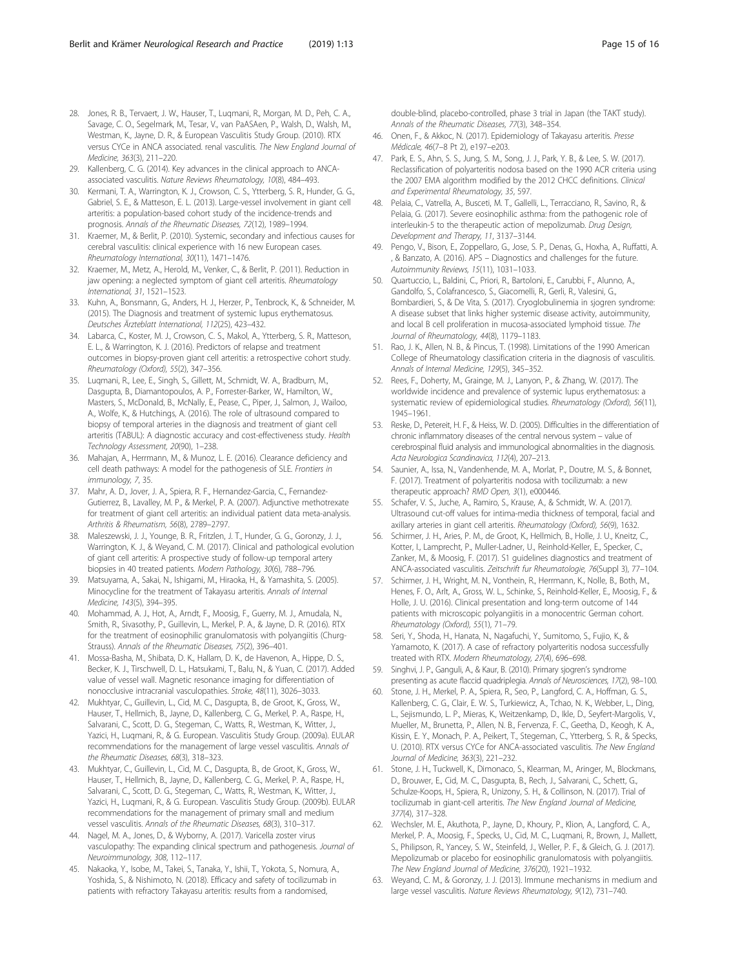- <span id="page-14-0"></span>28. Jones, R. B., Tervaert, J. W., Hauser, T., Luqmani, R., Morgan, M. D., Peh, C. A., Savage, C. O., Segelmark, M., Tesar, V., van PaASAen, P., Walsh, D., Walsh, M., Westman, K., Jayne, D. R., & European Vasculitis Study Group. (2010). RTX versus CYCe in ANCA associated. renal vasculitis. The New England Journal of Medicine, 363(3), 211–220.
- 29. Kallenberg, C. G. (2014). Key advances in the clinical approach to ANCAassociated vasculitis. Nature Reviews Rheumatology, 10(8), 484–493.
- 30. Kermani, T. A., Warrington, K. J., Crowson, C. S., Ytterberg, S. R., Hunder, G. G., Gabriel, S. E., & Matteson, E. L. (2013). Large-vessel involvement in giant cell arteritis: a population-based cohort study of the incidence-trends and prognosis. Annals of the Rheumatic Diseases, 72(12), 1989–1994.
- 31. Kraemer, M., & Berlit, P. (2010). Systemic, secondary and infectious causes for cerebral vasculitis: clinical experience with 16 new European cases. Rheumatology International, 30(11), 1471–1476.
- 32. Kraemer, M., Metz, A., Herold, M., Venker, C., & Berlit, P. (2011). Reduction in jaw opening: a neglected symptom of giant cell arteritis. Rheumatology International, 31, 1521–1523.
- 33. Kuhn, A., Bonsmann, G., Anders, H. J., Herzer, P., Tenbrock, K., & Schneider, M. (2015). The Diagnosis and treatment of systemic lupus erythematosus. Deutsches Ärzteblatt International, 112(25), 423–432.
- 34. Labarca, C., Koster, M. J., Crowson, C. S., Makol, A., Ytterberg, S. R., Matteson, E. L., & Warrington, K. J. (2016). Predictors of relapse and treatment outcomes in biopsy-proven giant cell arteritis: a retrospective cohort study. Rheumatology (Oxford), 55(2), 347–356.
- 35. Luqmani, R., Lee, E., Singh, S., Gillett, M., Schmidt, W. A., Bradburn, M., Dasgupta, B., Diamantopoulos, A. P., Forrester-Barker, W., Hamilton, W., Masters, S., McDonald, B., McNally, E., Pease, C., Piper, J., Salmon, J., Wailoo, A., Wolfe, K., & Hutchings, A. (2016). The role of ultrasound compared to biopsy of temporal arteries in the diagnosis and treatment of giant cell arteritis (TABUL): A diagnostic accuracy and cost-effectiveness study. Health Technology Assessment, 20(90), 1–238.
- 36. Mahajan, A., Herrmann, M., & Munoz, L. E. (2016). Clearance deficiency and cell death pathways: A model for the pathogenesis of SLE. Frontiers in immunology, 7, 35.
- 37. Mahr, A. D., Jover, J. A., Spiera, R. F., Hernandez-Garcia, C., Fernandez-Gutierrez, B., Lavalley, M. P., & Merkel, P. A. (2007). Adjunctive methotrexate for treatment of giant cell arteritis: an individual patient data meta-analysis. Arthritis & Rheumatism, 56(8), 2789–2797.
- Maleszewski, J. J., Younge, B. R., Fritzlen, J. T., Hunder, G. G., Goronzy, J. J., Warrington, K. J., & Weyand, C. M. (2017). Clinical and pathological evolution of giant cell arteritis: A prospective study of follow-up temporal artery biopsies in 40 treated patients. Modern Pathology, 30(6), 788–796.
- 39. Matsuyama, A., Sakai, N., Ishigami, M., Hiraoka, H., & Yamashita, S. (2005). Minocycline for the treatment of Takayasu arteritis. Annals of Internal Medicine, 143(5), 394–395.
- 40. Mohammad, A. J., Hot, A., Arndt, F., Moosig, F., Guerry, M. J., Amudala, N., Smith, R., Sivasothy, P., Guillevin, L., Merkel, P. A., & Jayne, D. R. (2016). RTX for the treatment of eosinophilic granulomatosis with polyangiitis (Churg-Strauss). Annals of the Rheumatic Diseases, 75(2), 396–401.
- 41. Mossa-Basha, M., Shibata, D. K., Hallam, D. K., de Havenon, A., Hippe, D. S., Becker, K. J., Tirschwell, D. L., Hatsukami, T., Balu, N., & Yuan, C. (2017). Added value of vessel wall. Magnetic resonance imaging for differentiation of nonocclusive intracranial vasculopathies. Stroke, 48(11), 3026–3033.
- 42. Mukhtyar, C., Guillevin, L., Cid, M. C., Dasgupta, B., de Groot, K., Gross, W., Hauser, T., Hellmich, B., Jayne, D., Kallenberg, C. G., Merkel, P. A., Raspe, H., Salvarani, C., Scott, D. G., Stegeman, C., Watts, R., Westman, K., Witter, J., Yazici, H., Luqmani, R., & G. European. Vasculitis Study Group. (2009a). EULAR recommendations for the management of large vessel vasculitis. Annals of the Rheumatic Diseases, 68(3), 318–323.
- 43. Mukhtyar, C., Guillevin, L., Cid, M. C., Dasgupta, B., de Groot, K., Gross, W., Hauser, T., Hellmich, B., Jayne, D., Kallenberg, C. G., Merkel, P. A., Raspe, H., Salvarani, C., Scott, D. G., Stegeman, C., Watts, R., Westman, K., Witter, J., Yazici, H., Luqmani, R., & G. European. Vasculitis Study Group. (2009b). EULAR recommendations for the management of primary small and medium vessel vasculitis. Annals of the Rheumatic Diseases, 68(3), 310–317.
- 44. Nagel, M. A., Jones, D., & Wyborny, A. (2017). Varicella zoster virus vasculopathy: The expanding clinical spectrum and pathogenesis. Journal of Neuroimmunology, 308, 112–117.
- 45. Nakaoka, Y., Isobe, M., Takei, S., Tanaka, Y., Ishii, T., Yokota, S., Nomura, A., Yoshida, S., & Nishimoto, N. (2018). Efficacy and safety of tocilizumab in patients with refractory Takayasu arteritis: results from a randomised,

double-blind, placebo-controlled, phase 3 trial in Japan (the TAKT study). Annals of the Rheumatic Diseases, 77(3), 348–354.

- 46. Onen, F., & Akkoc, N. (2017). Epidemiology of Takayasu arteritis. Presse Médicale, 46(7–8 Pt 2), e197–e203.
- 47. Park, E. S., Ahn, S. S., Jung, S. M., Song, J. J., Park, Y. B., & Lee, S. W. (2017). Reclassification of polyarteritis nodosa based on the 1990 ACR criteria using the 2007 EMA algorithm modified by the 2012 CHCC definitions. Clinical and Experimental Rheumatology, 35, 597.
- 48. Pelaia, C., Vatrella, A., Busceti, M. T., Gallelli, L., Terracciano, R., Savino, R., & Pelaia, G. (2017). Severe eosinophilic asthma: from the pathogenic role of interleukin-5 to the therapeutic action of mepolizumab. Drug Design, Development and Therapy, 11, 3137–3144.
- 49. Pengo, V., Bison, E., Zoppellaro, G., Jose, S. P., Denas, G., Hoxha, A., Ruffatti, A. , & Banzato, A. (2016). APS – Diagnostics and challenges for the future. Autoimmunity Reviews, 15(11), 1031–1033.
- 50. Quartuccio, L., Baldini, C., Priori, R., Bartoloni, E., Carubbi, F., Alunno, A., Gandolfo, S., Colafrancesco, S., Giacomelli, R., Gerli, R., Valesini, G., Bombardieri, S., & De Vita, S. (2017). Cryoglobulinemia in sjogren syndrome: A disease subset that links higher systemic disease activity, autoimmunity, and local B cell proliferation in mucosa-associated lymphoid tissue. The Journal of Rheumatology, 44(8), 1179–1183.
- 51. Rao, J. K., Allen, N. B., & Pincus, T. (1998). Limitations of the 1990 American College of Rheumatology classification criteria in the diagnosis of vasculitis. Annals of Internal Medicine, 129(5), 345–352.
- 52. Rees, F., Doherty, M., Grainge, M. J., Lanyon, P., & Zhang, W. (2017). The worldwide incidence and prevalence of systemic lupus erythematosus: a systematic review of epidemiological studies. Rheumatology (Oxford), 56(11), 1945–1961.
- 53. Reske, D., Petereit, H. F., & Heiss, W. D. (2005). Difficulties in the differentiation of chronic inflammatory diseases of the central nervous system – value of cerebrospinal fluid analysis and immunological abnormalities in the diagnosis. Acta Neurologica Scandinavica, 112(4), 207–213.
- 54. Saunier, A., Issa, N., Vandenhende, M. A., Morlat, P., Doutre, M. S., & Bonnet, F. (2017). Treatment of polyarteritis nodosa with tocilizumab: a new therapeutic approach? RMD Open, 3(1), e000446.
- 55. Schafer, V. S., Juche, A., Ramiro, S., Krause, A., & Schmidt, W. A. (2017). Ultrasound cut-off values for intima-media thickness of temporal, facial and axillary arteries in giant cell arteritis. Rheumatology (Oxford), 56(9), 1632.
- 56. Schirmer, J. H., Aries, P. M., de Groot, K., Hellmich, B., Holle, J. U., Kneitz, C., Kotter, I., Lamprecht, P., Muller-Ladner, U., Reinhold-Keller, E., Specker, C., Zanker, M., & Moosig, F. (2017). S1 guidelines diagnostics and treatment of ANCA-associated vasculitis. Zeitschrift fur Rheumatologie, 76(Suppl 3), 77–104.
- 57. Schirmer, J. H., Wright, M. N., Vonthein, R., Herrmann, K., Nolle, B., Both, M., Henes, F. O., Arlt, A., Gross, W. L., Schinke, S., Reinhold-Keller, E., Moosig, F., & Holle, J. U. (2016). Clinical presentation and long-term outcome of 144 patients with microscopic polyangiitis in a monocentric German cohort. Rheumatology (Oxford), 55(1), 71–79.
- 58. Seri, Y., Shoda, H., Hanata, N., Nagafuchi, Y., Sumitomo, S., Fujio, K., & Yamamoto, K. (2017). A case of refractory polyarteritis nodosa successfully treated with RTX. Modern Rheumatology, 27(4), 696–698.
- 59. Singhvi, J. P., Ganguli, A., & Kaur, B. (2010). Primary sjogren's syndrome presenting as acute flaccid quadriplegia. Annals of Neurosciences, 17(2), 98–100.
- 60. Stone, J. H., Merkel, P. A., Spiera, R., Seo, P., Langford, C. A., Hoffman, G. S., Kallenberg, C. G., Clair, E. W. S., Turkiewicz, A., Tchao, N. K., Webber, L., Ding, L., Sejismundo, L. P., Mieras, K., Weitzenkamp, D., Ikle, D., Seyfert-Margolis, V., Mueller, M., Brunetta, P., Allen, N. B., Fervenza, F. C., Geetha, D., Keogh, K. A., Kissin, E. Y., Monach, P. A., Peikert, T., Stegeman, C., Ytterberg, S. R., & Specks, U. (2010). RTX versus CYCe for ANCA-associated vasculitis. The New England Journal of Medicine, 363(3), 221–232.
- 61. Stone, J. H., Tuckwell, K., Dimonaco, S., Klearman, M., Aringer, M., Blockmans, D., Brouwer, E., Cid, M. C., Dasgupta, B., Rech, J., Salvarani, C., Schett, G., Schulze-Koops, H., Spiera, R., Unizony, S. H., & Collinson, N. (2017). Trial of tocilizumab in giant-cell arteritis. The New England Journal of Medicine, 377(4), 317–328.
- 62. Wechsler, M. E., Akuthota, P., Jayne, D., Khoury, P., Klion, A., Langford, C. A., Merkel, P. A., Moosig, F., Specks, U., Cid, M. C., Luqmani, R., Brown, J., Mallett, S., Philipson, R., Yancey, S. W., Steinfeld, J., Weller, P. F., & Gleich, G. J. (2017). Mepolizumab or placebo for eosinophilic granulomatosis with polyangiitis. The New England Journal of Medicine, 376(20), 1921–1932.
- 63. Weyand, C. M., & Goronzy, J. J. (2013). Immune mechanisms in medium and large vessel vasculitis. Nature Reviews Rheumatology, 9(12), 731–740.